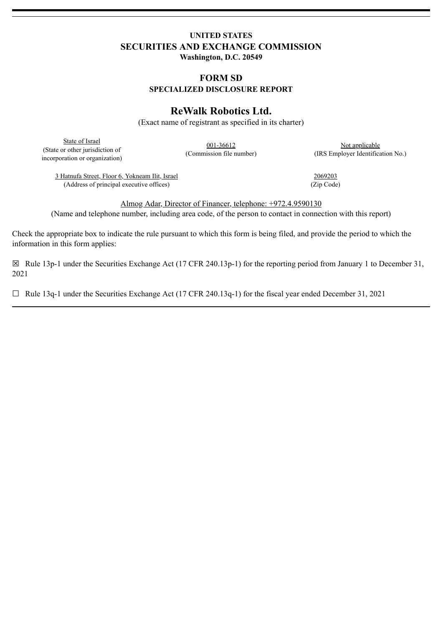## **UNITED STATES SECURITIES AND EXCHANGE COMMISSION Washington, D.C. 20549**

## **FORM SD SPECIALIZED DISCLOSURE REPORT**

# **ReWalk Robotics Ltd.**

(Exact name of registrant as specified in its charter)

State of Israel (State or other jurisdiction of incorporation or organization)

001-36612 (Commission file number)

Not applicable (IRS Employer Identification No.)

3 Hatnufa Street, Floor 6, Yokneam Ilit, Israel (Address of principal executive offices)

2069203 (Zip Code)

Almog Adar, Director of Financer, telephone: +972.4.9590130 (Name and telephone number, including area code, of the person to contact in connection with this report)

Check the appropriate box to indicate the rule pursuant to which this form is being filed, and provide the period to which the information in this form applies:

☒ Rule 13p-1 under the Securities Exchange Act (17 CFR 240.13p-1) for the reporting period from January 1 to December 31, 2021

☐ Rule 13q-1 under the Securities Exchange Act (17 CFR 240.13q-1) for the fiscal year ended December 31, 2021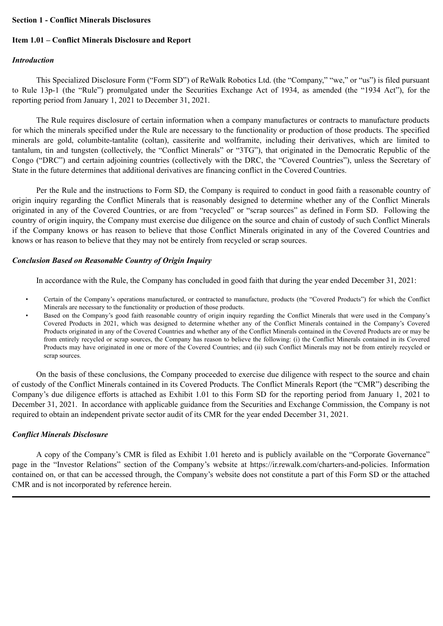#### **Section 1 - Conflict Minerals Disclosures**

## **Item 1.01 – Conflict Minerals Disclosure and Report**

#### *Introduction*

This Specialized Disclosure Form ("Form SD") of ReWalk Robotics Ltd. (the "Company," "we," or "us") is filed pursuant to Rule 13p-1 (the "Rule") promulgated under the Securities Exchange Act of 1934, as amended (the "1934 Act"), for the reporting period from January 1, 2021 to December 31, 2021.

The Rule requires disclosure of certain information when a company manufactures or contracts to manufacture products for which the minerals specified under the Rule are necessary to the functionality or production of those products. The specified minerals are gold, columbite-tantalite (coltan), cassiterite and wolframite, including their derivatives, which are limited to tantalum, tin and tungsten (collectively, the "Conflict Minerals" or "3TG"), that originated in the Democratic Republic of the Congo ("DRC") and certain adjoining countries (collectively with the DRC, the "Covered Countries"), unless the Secretary of State in the future determines that additional derivatives are financing conflict in the Covered Countries.

Per the Rule and the instructions to Form SD, the Company is required to conduct in good faith a reasonable country of origin inquiry regarding the Conflict Minerals that is reasonably designed to determine whether any of the Conflict Minerals originated in any of the Covered Countries, or are from "recycled" or "scrap sources" as defined in Form SD. Following the country of origin inquiry, the Company must exercise due diligence on the source and chain of custody of such Conflict Minerals if the Company knows or has reason to believe that those Conflict Minerals originated in any of the Covered Countries and knows or has reason to believe that they may not be entirely from recycled or scrap sources.

## *Conclusion Based on Reasonable Country of Origin Inquiry*

In accordance with the Rule, the Company has concluded in good faith that during the year ended December 31, 2021:

- Certain of the Company's operations manufactured, or contracted to manufacture, products (the "Covered Products") for which the Conflict Minerals are necessary to the functionality or production of those products.
- Based on the Company's good faith reasonable country of origin inquiry regarding the Conflict Minerals that were used in the Company's Covered Products in 2021, which was designed to determine whether any of the Conflict Minerals contained in the Company's Covered Products originated in any of the Covered Countries and whether any of the Conflict Minerals contained in the Covered Products are or may be from entirely recycled or scrap sources, the Company has reason to believe the following: (i) the Conflict Minerals contained in its Covered Products may have originated in one or more of the Covered Countries; and (ii) such Conflict Minerals may not be from entirely recycled or scrap sources.

On the basis of these conclusions, the Company proceeded to exercise due diligence with respect to the source and chain of custody of the Conflict Minerals contained in its Covered Products. The Conflict Minerals Report (the "CMR") describing the Company's due diligence efforts is attached as Exhibit 1.01 to this Form SD for the reporting period from January 1, 2021 to December 31, 2021. In accordance with applicable guidance from the Securities and Exchange Commission, the Company is not required to obtain an independent private sector audit of its CMR for the year ended December 31, 2021.

## *Conflict Minerals Disclosure*

A copy of the Company's CMR is filed as Exhibit 1.01 hereto and is publicly available on the "Corporate Governance" page in the "Investor Relations" section of the Company's website at https://ir.rewalk.com/charters-and-policies. Information contained on, or that can be accessed through, the Company's website does not constitute a part of this Form SD or the attached CMR and is not incorporated by reference herein.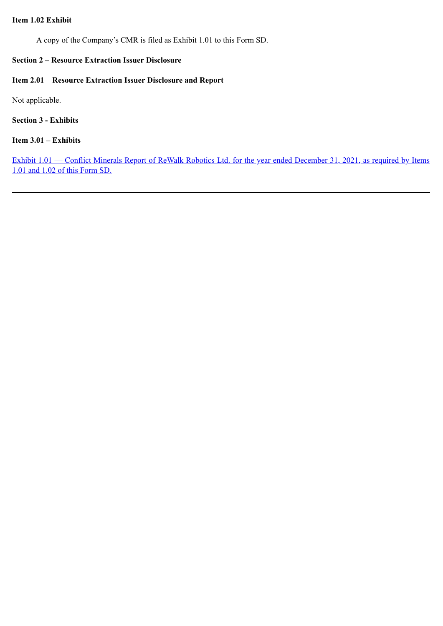## **Item 1.02 Exhibit**

A copy of the Company's CMR is filed as Exhibit 1.01 to this Form SD.

## **Section 2 – Resource Extraction Issuer Disclosure**

## **Item 2.01 Resource Extraction Issuer Disclosure and Report**

Not applicable.

## **Section 3 - Exhibits**

## **Item 3.01 – Exhibits**

Exhibit 1.01 — [Conflict Minerals Report of ReWalk Robotics Ltd. for the year ended December 31, 2021, as required by Items](#page-4-0) 1.01 and 1.02 of this Form SD.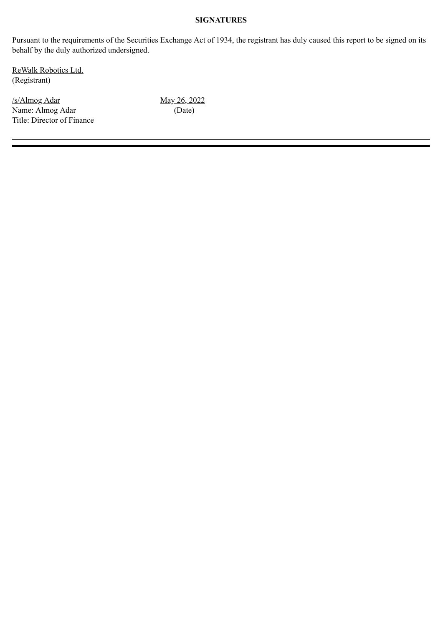## **SIGNATURES**

Pursuant to the requirements of the Securities Exchange Act of 1934, the registrant has duly caused this report to be signed on its behalf by the duly authorized undersigned.

ReWalk Robotics Ltd. (Registrant)

 $\frac{\text{Nay 26, 2022}}{\text{May 26, 2022}}$ Name: Almog Adar (Date) Title: Director of Finance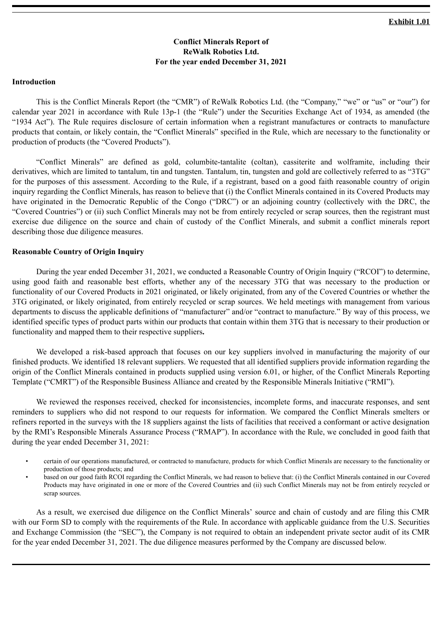## **Conflict Minerals Report of ReWalk Robotics Ltd. For the year ended December 31, 2021**

#### <span id="page-4-0"></span>**Introduction**

This is the Conflict Minerals Report (the "CMR") of ReWalk Robotics Ltd. (the "Company," "we" or "us" or "our") for calendar year 2021 in accordance with Rule 13p-1 (the "Rule") under the Securities Exchange Act of 1934, as amended (the "1934 Act"). The Rule requires disclosure of certain information when a registrant manufactures or contracts to manufacture products that contain, or likely contain, the "Conflict Minerals" specified in the Rule, which are necessary to the functionality or production of products (the "Covered Products").

"Conflict Minerals" are defined as gold, columbite-tantalite (coltan), cassiterite and wolframite, including their derivatives, which are limited to tantalum, tin and tungsten. Tantalum, tin, tungsten and gold are collectively referred to as "3TG" for the purposes of this assessment. According to the Rule, if a registrant, based on a good faith reasonable country of origin inquiry regarding the Conflict Minerals, has reason to believe that (i) the Conflict Minerals contained in its Covered Products may have originated in the Democratic Republic of the Congo ("DRC") or an adjoining country (collectively with the DRC, the "Covered Countries") or (ii) such Conflict Minerals may not be from entirely recycled or scrap sources, then the registrant must exercise due diligence on the source and chain of custody of the Conflict Minerals, and submit a conflict minerals report describing those due diligence measures.

#### **Reasonable Country of Origin Inquiry**

During the year ended December 31, 2021, we conducted a Reasonable Country of Origin Inquiry ("RCOI") to determine, using good faith and reasonable best efforts, whether any of the necessary 3TG that was necessary to the production or functionality of our Covered Products in 2021 originated, or likely originated, from any of the Covered Countries or whether the 3TG originated, or likely originated, from entirely recycled or scrap sources. We held meetings with management from various departments to discuss the applicable definitions of "manufacturer" and/or "contract to manufacture." By way of this process, we identified specific types of product parts within our products that contain within them 3TG that is necessary to their production or functionality and mapped them to their respective suppliers**.**

We developed a risk-based approach that focuses on our key suppliers involved in manufacturing the majority of our finished products. We identified 18 relevant suppliers. We requested that all identified suppliers provide information regarding the origin of the Conflict Minerals contained in products supplied using version 6.01, or higher, of the Conflict Minerals Reporting Template ("CMRT") of the Responsible Business Alliance and created by the Responsible Minerals Initiative ("RMI").

We reviewed the responses received, checked for inconsistencies, incomplete forms, and inaccurate responses, and sent reminders to suppliers who did not respond to our requests for information. We compared the Conflict Minerals smelters or refiners reported in the surveys with the 18 suppliers against the lists of facilities that received a conformant or active designation by the RMI's Responsible Minerals Assurance Process ("RMAP"). In accordance with the Rule, we concluded in good faith that during the year ended December 31, 2021:

- certain of our operations manufactured, or contracted to manufacture, products for which Conflict Minerals are necessary to the functionality or production of those products; and
- based on our good faith RCOI regarding the Conflict Minerals, we had reason to believe that: (i) the Conflict Minerals contained in our Covered Products may have originated in one or more of the Covered Countries and (ii) such Conflict Minerals may not be from entirely recycled or scrap sources.

As a result, we exercised due diligence on the Conflict Minerals' source and chain of custody and are filing this CMR with our Form SD to comply with the requirements of the Rule. In accordance with applicable guidance from the U.S. Securities and Exchange Commission (the "SEC"), the Company is not required to obtain an independent private sector audit of its CMR for the year ended December 31, 2021. The due diligence measures performed by the Company are discussed below.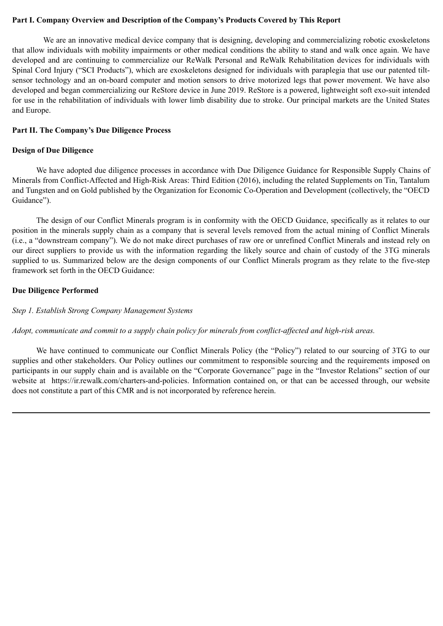## **Part I. Company Overview and Description of the Company's Products Covered by This Report**

We are an innovative medical device company that is designing, developing and commercializing robotic exoskeletons that allow individuals with mobility impairments or other medical conditions the ability to stand and walk once again. We have developed and are continuing to commercialize our ReWalk Personal and ReWalk Rehabilitation devices for individuals with Spinal Cord Injury ("SCI Products"), which are exoskeletons designed for individuals with paraplegia that use our patented tiltsensor technology and an on-board computer and motion sensors to drive motorized legs that power movement. We have also developed and began commercializing our ReStore device in June 2019. ReStore is a powered, lightweight soft exo-suit intended for use in the rehabilitation of individuals with lower limb disability due to stroke. Our principal markets are the United States and Europe.

## **Part II. The Company's Due Diligence Process**

## **Design of Due Diligence**

We have adopted due diligence processes in accordance with Due Diligence Guidance for Responsible Supply Chains of Minerals from Conflict-Affected and High-Risk Areas: Third Edition (2016), including the related Supplements on Tin, Tantalum and Tungsten and on Gold published by the Organization for Economic Co-Operation and Development (collectively, the "OECD Guidance").

The design of our Conflict Minerals program is in conformity with the OECD Guidance, specifically as it relates to our position in the minerals supply chain as a company that is several levels removed from the actual mining of Conflict Minerals (i.e., a "downstream company"). We do not make direct purchases of raw ore or unrefined Conflict Minerals and instead rely on our direct suppliers to provide us with the information regarding the likely source and chain of custody of the 3TG minerals supplied to us. Summarized below are the design components of our Conflict Minerals program as they relate to the five-step framework set forth in the OECD Guidance:

## **Due Diligence Performed**

#### *Step 1. Establish Strong Company Management Systems*

## *Adopt, communicate and commit to a supply chain policy for minerals from conflict-affected and high-risk areas.*

We have continued to communicate our Conflict Minerals Policy (the "Policy") related to our sourcing of 3TG to our supplies and other stakeholders. Our Policy outlines our commitment to responsible sourcing and the requirements imposed on participants in our supply chain and is available on the "Corporate Governance" page in the "Investor Relations" section of our website at https://ir.rewalk.com/charters-and-policies. Information contained on, or that can be accessed through, our website does not constitute a part of this CMR and is not incorporated by reference herein.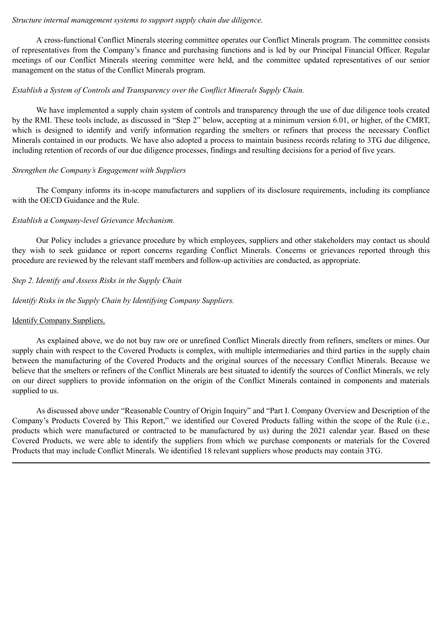#### *Structure internal management systems to support supply chain due diligence.*

A cross-functional Conflict Minerals steering committee operates our Conflict Minerals program. The committee consists of representatives from the Company's finance and purchasing functions and is led by our Principal Financial Officer. Regular meetings of our Conflict Minerals steering committee were held, and the committee updated representatives of our senior management on the status of the Conflict Minerals program.

## *Establish a System of Controls and Transparency over the Conflict Minerals Supply Chain.*

We have implemented a supply chain system of controls and transparency through the use of due diligence tools created by the RMI. These tools include, as discussed in "Step 2" below, accepting at a minimum version 6.01, or higher, of the CMRT, which is designed to identify and verify information regarding the smelters or refiners that process the necessary Conflict Minerals contained in our products. We have also adopted a process to maintain business records relating to 3TG due diligence, including retention of records of our due diligence processes, findings and resulting decisions for a period of five years.

## *Strengthen the Company's Engagement with Suppliers*

The Company informs its in-scope manufacturers and suppliers of its disclosure requirements, including its compliance with the OECD Guidance and the Rule.

## *Establish a Company-level Grievance Mechanism.*

Our Policy includes a grievance procedure by which employees, suppliers and other stakeholders may contact us should they wish to seek guidance or report concerns regarding Conflict Minerals. Concerns or grievances reported through this procedure are reviewed by the relevant staff members and follow-up activities are conducted, as appropriate.

## *Step 2. Identify and Assess Risks in the Supply Chain*

*Identify Risks in the Supply Chain by Identifying Company Suppliers.*

## Identify Company Suppliers.

As explained above, we do not buy raw ore or unrefined Conflict Minerals directly from refiners, smelters or mines. Our supply chain with respect to the Covered Products is complex, with multiple intermediaries and third parties in the supply chain between the manufacturing of the Covered Products and the original sources of the necessary Conflict Minerals. Because we believe that the smelters or refiners of the Conflict Minerals are best situated to identify the sources of Conflict Minerals, we rely on our direct suppliers to provide information on the origin of the Conflict Minerals contained in components and materials supplied to us.

As discussed above under "Reasonable Country of Origin Inquiry" and "Part I. Company Overview and Description of the Company's Products Covered by This Report," we identified our Covered Products falling within the scope of the Rule (i.e., products which were manufactured or contracted to be manufactured by us) during the 2021 calendar year. Based on these Covered Products, we were able to identify the suppliers from which we purchase components or materials for the Covered Products that may include Conflict Minerals. We identified 18 relevant suppliers whose products may contain 3TG.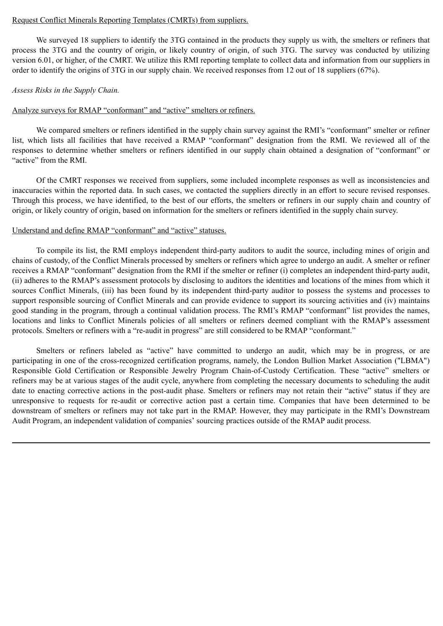#### Request Conflict Minerals Reporting Templates (CMRTs) from suppliers.

We surveyed 18 suppliers to identify the 3TG contained in the products they supply us with, the smelters or refiners that process the 3TG and the country of origin, or likely country of origin, of such 3TG. The survey was conducted by utilizing version 6.01, or higher, of the CMRT. We utilize this RMI reporting template to collect data and information from our suppliers in order to identify the origins of 3TG in our supply chain. We received responses from 12 out of 18 suppliers (67%).

#### *Assess Risks in the Supply Chain.*

#### Analyze surveys for RMAP "conformant" and "active" smelters or refiners.

We compared smelters or refiners identified in the supply chain survey against the RMI's "conformant" smelter or refiner list, which lists all facilities that have received a RMAP "conformant" designation from the RMI. We reviewed all of the responses to determine whether smelters or refiners identified in our supply chain obtained a designation of "conformant" or "active" from the RMI.

Of the CMRT responses we received from suppliers, some included incomplete responses as well as inconsistencies and inaccuracies within the reported data. In such cases, we contacted the suppliers directly in an effort to secure revised responses. Through this process, we have identified, to the best of our efforts, the smelters or refiners in our supply chain and country of origin, or likely country of origin, based on information for the smelters or refiners identified in the supply chain survey.

#### Understand and define RMAP "conformant" and "active" statuses.

To compile its list, the RMI employs independent third-party auditors to audit the source, including mines of origin and chains of custody, of the Conflict Minerals processed by smelters or refiners which agree to undergo an audit. A smelter or refiner receives a RMAP "conformant" designation from the RMI if the smelter or refiner (i) completes an independent third-party audit, (ii) adheres to the RMAP's assessment protocols by disclosing to auditors the identities and locations of the mines from which it sources Conflict Minerals, (iii) has been found by its independent third-party auditor to possess the systems and processes to support responsible sourcing of Conflict Minerals and can provide evidence to support its sourcing activities and (iv) maintains good standing in the program, through a continual validation process. The RMI's RMAP "conformant" list provides the names, locations and links to Conflict Minerals policies of all smelters or refiners deemed compliant with the RMAP's assessment protocols. Smelters or refiners with a "re-audit in progress" are still considered to be RMAP "conformant."

Smelters or refiners labeled as "active" have committed to undergo an audit, which may be in progress, or are participating in one of the cross-recognized certification programs, namely, the London Bullion Market Association ("LBMA") Responsible Gold Certification or Responsible Jewelry Program Chain-of-Custody Certification. These "active" smelters or refiners may be at various stages of the audit cycle, anywhere from completing the necessary documents to scheduling the audit date to enacting corrective actions in the post-audit phase. Smelters or refiners may not retain their "active" status if they are unresponsive to requests for re-audit or corrective action past a certain time. Companies that have been determined to be downstream of smelters or refiners may not take part in the RMAP. However, they may participate in the RMI's Downstream Audit Program, an independent validation of companies' sourcing practices outside of the RMAP audit process.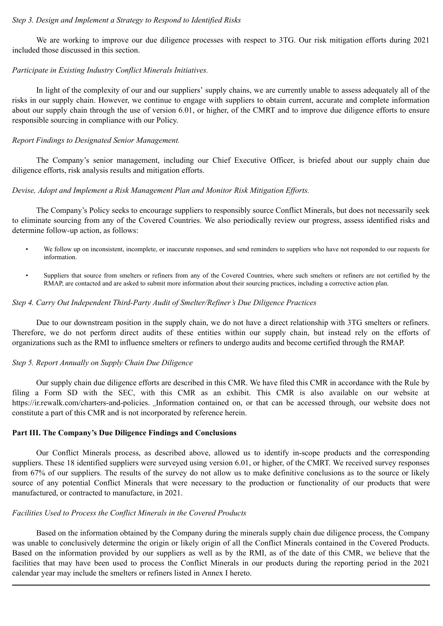#### *Step 3. Design and Implement a Strategy to Respond to Identified Risks*

We are working to improve our due diligence processes with respect to 3TG. Our risk mitigation efforts during 2021 included those discussed in this section.

#### *Participate in Existing Industry Conflict Minerals Initiatives.*

In light of the complexity of our and our suppliers' supply chains, we are currently unable to assess adequately all of the risks in our supply chain. However, we continue to engage with suppliers to obtain current, accurate and complete information about our supply chain through the use of version 6.01, or higher, of the CMRT and to improve due diligence efforts to ensure responsible sourcing in compliance with our Policy.

## *Report Findings to Designated Senior Management.*

The Company's senior management, including our Chief Executive Officer, is briefed about our supply chain due diligence efforts, risk analysis results and mitigation efforts.

#### *Devise, Adopt and Implement a Risk Management Plan and Monitor Risk Mitigation Efforts.*

The Company's Policy seeks to encourage suppliers to responsibly source Conflict Minerals, but does not necessarily seek to eliminate sourcing from any of the Covered Countries. We also periodically review our progress, assess identified risks and determine follow-up action, as follows:

- We follow up on inconsistent, incomplete, or inaccurate responses, and send reminders to suppliers who have not responded to our requests for information.
- Suppliers that source from smelters or refiners from any of the Covered Countries, where such smelters or refiners are not certified by the RMAP, are contacted and are asked to submit more information about their sourcing practices, including a corrective action plan.

#### *Step 4. Carry Out Independent Third-Party Audit of Smelter/Refiner's Due Diligence Practices*

Due to our downstream position in the supply chain, we do not have a direct relationship with 3TG smelters or refiners. Therefore, we do not perform direct audits of these entities within our supply chain, but instead rely on the efforts of organizations such as the RMI to influence smelters or refiners to undergo audits and become certified through the RMAP.

## *Step 5. Report Annually on Supply Chain Due Diligence*

Our supply chain due diligence efforts are described in this CMR. We have filed this CMR in accordance with the Rule by filing a Form SD with the SEC, with this CMR as an exhibit. This CMR is also available on our website at https://ir.rewalk.com/charters-and-policies. Information contained on, or that can be accessed through, our website does not constitute a part of this CMR and is not incorporated by reference herein.

#### **Part III. The Company's Due Diligence Findings and Conclusions**

Our Conflict Minerals process, as described above, allowed us to identify in-scope products and the corresponding suppliers. These 18 identified suppliers were surveyed using version 6.01, or higher, of the CMRT. We received survey responses from 67% of our suppliers. The results of the survey do not allow us to make definitive conclusions as to the source or likely source of any potential Conflict Minerals that were necessary to the production or functionality of our products that were manufactured, or contracted to manufacture, in 2021.

#### *Facilities Used to Process the Conflict Minerals in the Covered Products*

Based on the information obtained by the Company during the minerals supply chain due diligence process, the Company was unable to conclusively determine the origin or likely origin of all the Conflict Minerals contained in the Covered Products. Based on the information provided by our suppliers as well as by the RMI, as of the date of this CMR, we believe that the facilities that may have been used to process the Conflict Minerals in our products during the reporting period in the 2021 calendar year may include the smelters or refiners listed in Annex I hereto.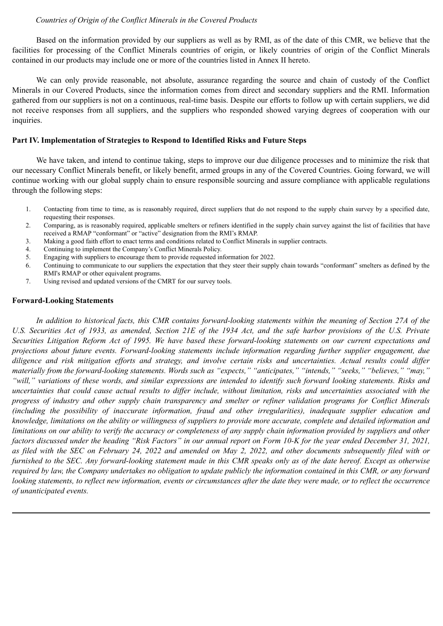#### *Countries of Origin of the Conflict Minerals in the Covered Products*

Based on the information provided by our suppliers as well as by RMI, as of the date of this CMR, we believe that the facilities for processing of the Conflict Minerals countries of origin, or likely countries of origin of the Conflict Minerals contained in our products may include one or more of the countries listed in Annex II hereto.

We can only provide reasonable, not absolute, assurance regarding the source and chain of custody of the Conflict Minerals in our Covered Products, since the information comes from direct and secondary suppliers and the RMI. Information gathered from our suppliers is not on a continuous, real-time basis. Despite our efforts to follow up with certain suppliers, we did not receive responses from all suppliers, and the suppliers who responded showed varying degrees of cooperation with our inquiries.

#### **Part IV. Implementation of Strategies to Respond to Identified Risks and Future Steps**

We have taken, and intend to continue taking, steps to improve our due diligence processes and to minimize the risk that our necessary Conflict Minerals benefit, or likely benefit, armed groups in any of the Covered Countries. Going forward, we will continue working with our global supply chain to ensure responsible sourcing and assure compliance with applicable regulations through the following steps:

- 1. Contacting from time to time, as is reasonably required, direct suppliers that do not respond to the supply chain survey by a specified date, requesting their responses.
- 2. Comparing, as is reasonably required, applicable smelters or refiners identified in the supply chain survey against the list of facilities that have received a RMAP "conformant" or "active" designation from the RMI's RMAP.
- 3. Making a good faith effort to enact terms and conditions related to Conflict Minerals in supplier contracts.
- 4. Continuing to implement the Company's Conflict Minerals Policy.
- 5. Engaging with suppliers to encourage them to provide requested information for 2022.
- 6. Continuing to communicate to our suppliers the expectation that they steer their supply chain towards "conformant" smelters as defined by the RMI's RMAP or other equivalent programs.
- 7. Using revised and updated versions of the CMRT for our survey tools.

#### **Forward-Looking Statements**

*In addition to historical facts, this CMR contains forward-looking statements within the meaning of Section 27A of the U.S. Securities Act of 1933, as amended, Section 21E of the 1934 Act, and the safe harbor provisions of the U.S. Private Securities Litigation Reform Act of 1995. We have based these forward-looking statements on our current expectations and projections about future events. Forward-looking statements include information regarding further supplier engagement, due diligence and risk mitigation efforts and strategy, and involve certain risks and uncertainties. Actual results could differ materially from the forward-looking statements. Words such as "expects," "anticipates," "intends," "seeks," "believes," "may," "will," variations of these words, and similar expressions are intended to identify such forward looking statements. Risks and uncertainties that could cause actual results to differ include, without limitation, risks and uncertainties associated with the progress of industry and other supply chain transparency and smelter or refiner validation programs for Conflict Minerals (including the possibility of inaccurate information, fraud and other irregularities), inadequate supplier education and knowledge, limitations on the ability or willingness of suppliers to provide more accurate, complete and detailed information and limitations on our ability to verify the accuracy or completeness of any supply chain information provided by suppliers and other factors discussed under the heading "Risk Factors" in our annual report on Form 10-K for the year ended December 31, 2021, as filed with the SEC on February 24, 2022 and amended on May 2, 2022, and other documents subsequently filed with or furnished to the SEC. Any forward-looking statement made in this CMR speaks only as of the date hereof. Except as otherwise required by law, the Company undertakes no obligation to update publicly the information contained in this CMR, or any forward looking statements, to reflect new information, events or circumstances after the date they were made, or to reflect the occurrence of unanticipated events.*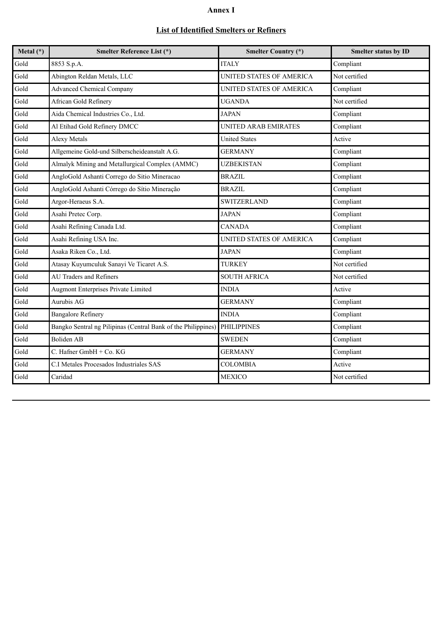## **Annex I**

# **List of Identified Smelters or Refiners**

| Metal $(*)$ | <b>Smelter Reference List (*)</b>                             | <b>Smelter Country (*)</b>  | Smelter status by ID |
|-------------|---------------------------------------------------------------|-----------------------------|----------------------|
| Gold        | 8853 S.p.A.                                                   | <b>ITALY</b>                | Compliant            |
| Gold        | Abington Reldan Metals, LLC                                   | UNITED STATES OF AMERICA    | Not certified        |
| Gold        | <b>Advanced Chemical Company</b>                              | UNITED STATES OF AMERICA    | Compliant            |
| Gold        | African Gold Refinery                                         | <b>UGANDA</b>               | Not certified        |
| Gold        | Aida Chemical Industries Co., Ltd.                            | <b>JAPAN</b>                | Compliant            |
| Gold        | Al Etihad Gold Refinery DMCC                                  | <b>UNITED ARAB EMIRATES</b> | Compliant            |
| Gold        | <b>Alexy Metals</b>                                           | <b>United States</b>        | Active               |
| Gold        | Allgemeine Gold-und Silberscheideanstalt A.G.                 | <b>GERMANY</b>              | Compliant            |
| Gold        | Almalyk Mining and Metallurgical Complex (AMMC)               | <b>UZBEKISTAN</b>           | Compliant            |
| Gold        | AngloGold Ashanti Corrego do Sitio Mineracao                  | <b>BRAZIL</b>               | Compliant            |
| Gold        | AngloGold Ashanti Córrego do Sítio Mineração                  | <b>BRAZIL</b>               | Compliant            |
| Gold        | Argor-Heraeus S.A.                                            | <b>SWITZERLAND</b>          | Compliant            |
| Gold        | Asahi Pretec Corp.                                            | <b>JAPAN</b>                | Compliant            |
| Gold        | Asahi Refining Canada Ltd.                                    | <b>CANADA</b>               | Compliant            |
| Gold        | Asahi Refining USA Inc.                                       | UNITED STATES OF AMERICA    | Compliant            |
| Gold        | Asaka Riken Co., Ltd.                                         | <b>JAPAN</b>                | Compliant            |
| Gold        | Atasay Kuyumculuk Sanayi Ve Ticaret A.S.                      | <b>TURKEY</b>               | Not certified        |
| Gold        | <b>AU Traders and Refiners</b>                                | <b>SOUTH AFRICA</b>         | Not certified        |
| Gold        | <b>Augmont Enterprises Private Limited</b>                    | <b>INDIA</b>                | Active               |
| Gold        | Aurubis AG                                                    | <b>GERMANY</b>              | Compliant            |
| Gold        | <b>Bangalore Refinery</b>                                     | <b>INDIA</b>                | Compliant            |
| Gold        | Bangko Sentral ng Pilipinas (Central Bank of the Philippines) | <b>PHILIPPINES</b>          | Compliant            |
| Gold        | <b>Boliden AB</b>                                             | <b>SWEDEN</b>               | Compliant            |
| Gold        | C. Hafner GmbH + Co. KG                                       | <b>GERMANY</b>              | Compliant            |
| Gold        | C.I Metales Procesados Industriales SAS                       | <b>COLOMBIA</b>             | Active               |
| Gold        | Caridad                                                       | <b>MEXICO</b>               | Not certified        |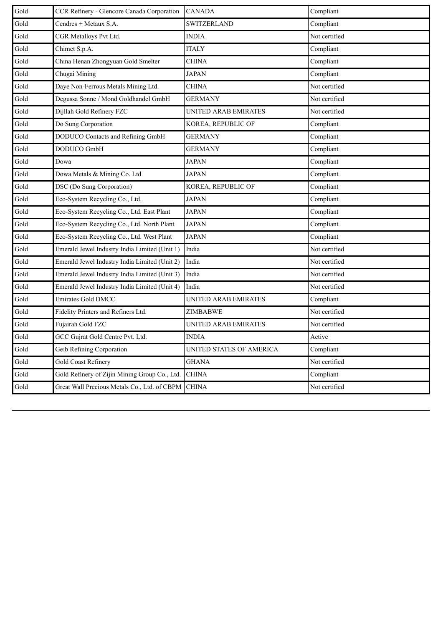| Gold | CCR Refinery - Glencore Canada Corporation    | <b>CANADA</b>               | Compliant     |
|------|-----------------------------------------------|-----------------------------|---------------|
| Gold | Cendres + Metaux S.A.                         | SWITZERLAND                 | Compliant     |
| Gold | CGR Metalloys Pvt Ltd.                        | <b>INDIA</b>                | Not certified |
| Gold | Chimet S.p.A.                                 | <b>ITALY</b>                | Compliant     |
| Gold | China Henan Zhongyuan Gold Smelter            | <b>CHINA</b>                | Compliant     |
| Gold | Chugai Mining                                 | <b>JAPAN</b>                | Compliant     |
| Gold | Daye Non-Ferrous Metals Mining Ltd.           | <b>CHINA</b>                | Not certified |
| Gold | Degussa Sonne / Mond Goldhandel GmbH          | GERMANY                     | Not certified |
| Gold | Dijllah Gold Refinery FZC                     | UNITED ARAB EMIRATES        | Not certified |
| Gold | Do Sung Corporation                           | KOREA, REPUBLIC OF          | Compliant     |
| Gold | DODUCO Contacts and Refining GmbH             | <b>GERMANY</b>              | Compliant     |
| Gold | DODUCO GmbH                                   | <b>GERMANY</b>              | Compliant     |
| Gold | Dowa                                          | JAPAN                       | Compliant     |
| Gold | Dowa Metals & Mining Co. Ltd                  | <b>JAPAN</b>                | Compliant     |
| Gold | DSC (Do Sung Corporation)                     | KOREA, REPUBLIC OF          | Compliant     |
| Gold | Eco-System Recycling Co., Ltd.                | <b>JAPAN</b>                | Compliant     |
| Gold | Eco-System Recycling Co., Ltd. East Plant     | JAPAN                       | Compliant     |
| Gold | Eco-System Recycling Co., Ltd. North Plant    | JAPAN                       | Compliant     |
| Gold | Eco-System Recycling Co., Ltd. West Plant     | <b>JAPAN</b>                | Compliant     |
| Gold | Emerald Jewel Industry India Limited (Unit 1) | India                       | Not certified |
| Gold | Emerald Jewel Industry India Limited (Unit 2) | India                       | Not certified |
| Gold | Emerald Jewel Industry India Limited (Unit 3) | India                       | Not certified |
| Gold | Emerald Jewel Industry India Limited (Unit 4) | India                       | Not certified |
| Gold | <b>Emirates Gold DMCC</b>                     | <b>UNITED ARAB EMIRATES</b> | Compliant     |
| Gold | Fidelity Printers and Refiners Ltd.           | ZIMBABWE                    | Not certified |
| Gold | Fujairah Gold FZC                             | UNITED ARAB EMIRATES        | Not certified |
| Gold | GCC Gujrat Gold Centre Pvt. Ltd.              | <b>INDIA</b>                | Active        |
| Gold | Geib Refining Corporation                     | UNITED STATES OF AMERICA    | Compliant     |
| Gold | Gold Coast Refinery                           | <b>GHANA</b>                | Not certified |
| Gold | Gold Refinery of Zijin Mining Group Co., Ltd. | <b>CHINA</b>                | Compliant     |
| Gold | Great Wall Precious Metals Co., Ltd. of CBPM  | <b>CHINA</b>                | Not certified |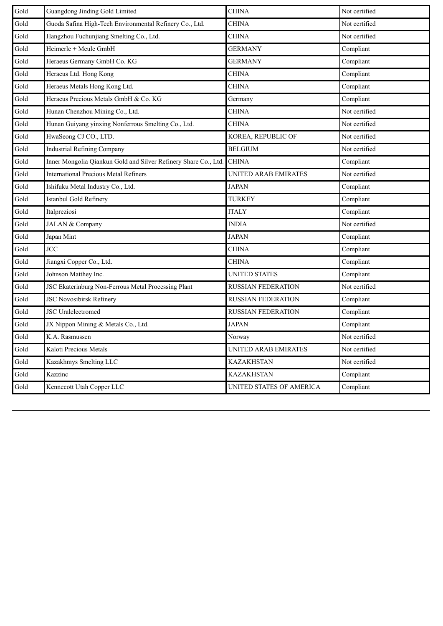| Gold | Guangdong Jinding Gold Limited                                  | <b>CHINA</b>              | Not certified |
|------|-----------------------------------------------------------------|---------------------------|---------------|
| Gold | Guoda Safina High-Tech Environmental Refinery Co., Ltd.         | <b>CHINA</b>              | Not certified |
| Gold | Hangzhou Fuchunjiang Smelting Co., Ltd.                         | <b>CHINA</b>              | Not certified |
| Gold | Heimerle + Meule GmbH                                           | <b>GERMANY</b>            | Compliant     |
| Gold | Heraeus Germany GmbH Co. KG                                     | <b>GERMANY</b>            | Compliant     |
| Gold | Heraeus Ltd. Hong Kong                                          | <b>CHINA</b>              | Compliant     |
| Gold | Heraeus Metals Hong Kong Ltd.                                   | <b>CHINA</b>              | Compliant     |
| Gold | Heraeus Precious Metals GmbH & Co. KG                           | Germany                   | Compliant     |
| Gold | Hunan Chenzhou Mining Co., Ltd.                                 | <b>CHINA</b>              | Not certified |
| Gold | Hunan Guiyang yinxing Nonferrous Smelting Co., Ltd.             | <b>CHINA</b>              | Not certified |
| Gold | HwaSeong CJ CO., LTD.                                           | KOREA, REPUBLIC OF        | Not certified |
| Gold | <b>Industrial Refining Company</b>                              | <b>BELGIUM</b>            | Not certified |
| Gold | Inner Mongolia Qiankun Gold and Silver Refinery Share Co., Ltd. | <b>CHINA</b>              | Compliant     |
| Gold | <b>International Precious Metal Refiners</b>                    | UNITED ARAB EMIRATES      | Not certified |
| Gold | Ishifuku Metal Industry Co., Ltd.                               | <b>JAPAN</b>              | Compliant     |
| Gold | Istanbul Gold Refinery                                          | <b>TURKEY</b>             | Compliant     |
| Gold | Italpreziosi                                                    | <b>ITALY</b>              | Compliant     |
| Gold | JALAN & Company                                                 | <b>INDIA</b>              | Not certified |
| Gold | Japan Mint                                                      | <b>JAPAN</b>              | Compliant     |
| Gold | <b>JCC</b>                                                      | <b>CHINA</b>              | Compliant     |
| Gold | Jiangxi Copper Co., Ltd.                                        | <b>CHINA</b>              | Compliant     |
| Gold | Johnson Matthey Inc.                                            | <b>UNITED STATES</b>      | Compliant     |
| Gold | JSC Ekaterinburg Non-Ferrous Metal Processing Plant             | RUSSIAN FEDERATION        | Not certified |
| Gold | <b>JSC Novosibirsk Refinery</b>                                 | <b>RUSSIAN FEDERATION</b> | Compliant     |
| Gold | <b>JSC</b> Uralelectromed                                       | <b>RUSSIAN FEDERATION</b> | Compliant     |
| Gold | JX Nippon Mining & Metals Co., Ltd.                             | <b>JAPAN</b>              | Compliant     |
| Gold | K.A. Rasmussen                                                  | Norway                    | Not certified |
| Gold | Kaloti Precious Metals                                          | UNITED ARAB EMIRATES      | Not certified |
| Gold | Kazakhmys Smelting LLC                                          | <b>KAZAKHSTAN</b>         | Not certified |
| Gold | Kazzinc                                                         | <b>KAZAKHSTAN</b>         | Compliant     |
| Gold | Kennecott Utah Copper LLC                                       | UNITED STATES OF AMERICA  | Compliant     |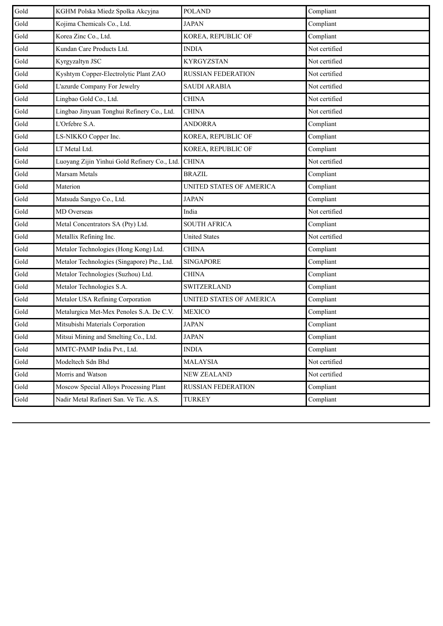| Gold | KGHM Polska Miedz Spolka Akcyjna             | <b>POLAND</b>             | Compliant     |
|------|----------------------------------------------|---------------------------|---------------|
| Gold | Kojima Chemicals Co., Ltd.                   | <b>JAPAN</b>              | Compliant     |
| Gold | Korea Zinc Co., Ltd.                         | KOREA, REPUBLIC OF        | Compliant     |
| Gold | Kundan Care Products Ltd.                    | <b>INDIA</b>              | Not certified |
| Gold | Kyrgyzaltyn JSC                              | <b>KYRGYZSTAN</b>         | Not certified |
| Gold | Kyshtym Copper-Electrolytic Plant ZAO        | <b>RUSSIAN FEDERATION</b> | Not certified |
| Gold | L'azurde Company For Jewelry                 | <b>SAUDI ARABIA</b>       | Not certified |
| Gold | Lingbao Gold Co., Ltd.                       | <b>CHINA</b>              | Not certified |
| Gold | Lingbao Jinyuan Tonghui Refinery Co., Ltd.   | <b>CHINA</b>              | Not certified |
| Gold | L'Orfebre S.A.                               | <b>ANDORRA</b>            | Compliant     |
| Gold | LS-NIKKO Copper Inc.                         | KOREA, REPUBLIC OF        | Compliant     |
| Gold | LT Metal Ltd.                                | KOREA, REPUBLIC OF        | Compliant     |
| Gold | Luoyang Zijin Yinhui Gold Refinery Co., Ltd. | <b>CHINA</b>              | Not certified |
| Gold | Marsam Metals                                | <b>BRAZIL</b>             | Compliant     |
| Gold | Materion                                     | UNITED STATES OF AMERICA  | Compliant     |
| Gold | Matsuda Sangyo Co., Ltd.                     | <b>JAPAN</b>              | Compliant     |
| Gold | <b>MD</b> Overseas                           | India                     | Not certified |
| Gold | Metal Concentrators SA (Pty) Ltd.            | <b>SOUTH AFRICA</b>       | Compliant     |
| Gold | Metallix Refining Inc.                       | <b>United States</b>      | Not certified |
| Gold | Metalor Technologies (Hong Kong) Ltd.        | <b>CHINA</b>              | Compliant     |
| Gold | Metalor Technologies (Singapore) Pte., Ltd.  | <b>SINGAPORE</b>          | Compliant     |
| Gold | Metalor Technologies (Suzhou) Ltd.           | <b>CHINA</b>              | Compliant     |
| Gold | Metalor Technologies S.A.                    | <b>SWITZERLAND</b>        | Compliant     |
| Gold | Metalor USA Refining Corporation             | UNITED STATES OF AMERICA  | Compliant     |
| Gold | Metalurgica Met-Mex Penoles S.A. De C.V.     | <b>MEXICO</b>             | Compliant     |
| Gold | Mitsubishi Materials Corporation             | <b>JAPAN</b>              | Compliant     |
| Gold | Mitsui Mining and Smelting Co., Ltd.         | <b>JAPAN</b>              | Compliant     |
| Gold | MMTC-PAMP India Pvt., Ltd.                   | <b>INDIA</b>              | Compliant     |
| Gold | Modeltech Sdn Bhd                            | <b>MALAYSIA</b>           | Not certified |
| Gold | Morris and Watson                            | NEW ZEALAND               | Not certified |
| Gold | Moscow Special Alloys Processing Plant       | RUSSIAN FEDERATION        | Compliant     |
| Gold | Nadir Metal Rafineri San. Ve Tic. A.S.       | <b>TURKEY</b>             | Compliant     |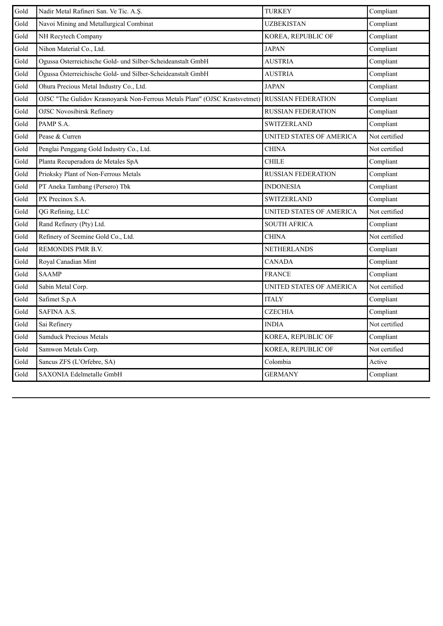| Gold | Nadir Metal Rafineri San. Ve Tic. A.Ş.                                      | <b>TURKEY</b>             | Compliant     |
|------|-----------------------------------------------------------------------------|---------------------------|---------------|
| Gold | Navoi Mining and Metallurgical Combinat                                     | <b>UZBEKISTAN</b>         | Compliant     |
| Gold | NH Recytech Company                                                         | KOREA, REPUBLIC OF        | Compliant     |
| Gold | Nihon Material Co., Ltd.                                                    | <b>JAPAN</b>              | Compliant     |
| Gold | Ogussa Osterreichische Gold- und Silber-Scheideanstalt GmbH                 | <b>AUSTRIA</b>            | Compliant     |
| Gold | Ögussa Österreichische Gold- und Silber-Scheideanstalt GmbH                 | <b>AUSTRIA</b>            | Compliant     |
| Gold | Ohura Precious Metal Industry Co., Ltd.                                     | <b>JAPAN</b>              | Compliant     |
| Gold | OJSC "The Gulidov Krasnoyarsk Non-Ferrous Metals Plant" (OJSC Krastsvetmet) | <b>RUSSIAN FEDERATION</b> | Compliant     |
| Gold | <b>OJSC Novosibirsk Refinery</b>                                            | <b>RUSSIAN FEDERATION</b> | Compliant     |
| Gold | PAMP S.A.                                                                   | <b>SWITZERLAND</b>        | Compliant     |
| Gold | Pease & Curren                                                              | UNITED STATES OF AMERICA  | Not certified |
| Gold | Penglai Penggang Gold Industry Co., Ltd.                                    | <b>CHINA</b>              | Not certified |
| Gold | Planta Recuperadora de Metales SpA                                          | <b>CHILE</b>              | Compliant     |
| Gold | Prioksky Plant of Non-Ferrous Metals                                        | <b>RUSSIAN FEDERATION</b> | Compliant     |
| Gold | PT Aneka Tambang (Persero) Tbk                                              | <b>INDONESIA</b>          | Compliant     |
| Gold | PX Precinox S.A.                                                            | <b>SWITZERLAND</b>        | Compliant     |
| Gold | QG Refining, LLC                                                            | UNITED STATES OF AMERICA  | Not certified |
| Gold | Rand Refinery (Pty) Ltd.                                                    | <b>SOUTH AFRICA</b>       | Compliant     |
| Gold | Refinery of Seemine Gold Co., Ltd.                                          | <b>CHINA</b>              | Not certified |
| Gold | REMONDIS PMR B.V.                                                           | <b>NETHERLANDS</b>        | Compliant     |
| Gold | Royal Canadian Mint                                                         | <b>CANADA</b>             | Compliant     |
| Gold | <b>SAAMP</b>                                                                | <b>FRANCE</b>             | Compliant     |
| Gold | Sabin Metal Corp.                                                           | UNITED STATES OF AMERICA  | Not certified |
| Gold | Safimet S.p.A                                                               | <b>ITALY</b>              | Compliant     |
| Gold | SAFINA A.S.                                                                 | <b>CZECHIA</b>            | Compliant     |
| Gold | Sai Refinery                                                                | <b>INDIA</b>              | Not certified |
| Gold | <b>Samduck Precious Metals</b>                                              | KOREA, REPUBLIC OF        | Compliant     |
| Gold | Samwon Metals Corp.                                                         | KOREA, REPUBLIC OF        | Not certified |
| Gold | Sancus ZFS (L'Orfebre, SA)                                                  | Colombia                  | Active        |
| Gold | SAXONIA Edelmetalle GmbH                                                    | <b>GERMANY</b>            | Compliant     |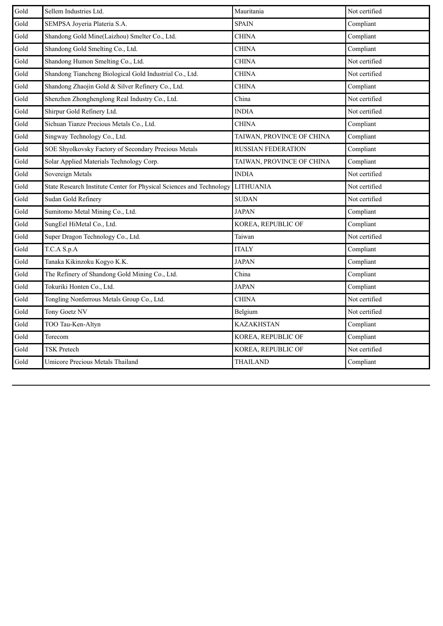| Gold | Sellem Industries Ltd.                                               | Mauritania                | Not certified |
|------|----------------------------------------------------------------------|---------------------------|---------------|
| Gold | SEMPSA Joyeria Plateria S.A.                                         | <b>SPAIN</b>              | Compliant     |
| Gold | Shandong Gold Mine(Laizhou) Smelter Co., Ltd.                        | <b>CHINA</b>              | Compliant     |
| Gold | Shandong Gold Smelting Co., Ltd.                                     | <b>CHINA</b>              | Compliant     |
| Gold | Shandong Humon Smelting Co., Ltd.                                    | <b>CHINA</b>              | Not certified |
| Gold | Shandong Tiancheng Biological Gold Industrial Co., Ltd.              | CHINA                     | Not certified |
| Gold | Shandong Zhaojin Gold & Silver Refinery Co., Ltd.                    | <b>CHINA</b>              | Compliant     |
| Gold | Shenzhen Zhonghenglong Real Industry Co., Ltd.                       | China                     | Not certified |
| Gold | Shirpur Gold Refinery Ltd.                                           | <b>INDIA</b>              | Not certified |
| Gold | Sichuan Tianze Precious Metals Co., Ltd.                             | <b>CHINA</b>              | Compliant     |
| Gold | Singway Technology Co., Ltd.                                         | TAIWAN, PROVINCE OF CHINA | Compliant     |
| Gold | SOE Shyolkovsky Factory of Secondary Precious Metals                 | <b>RUSSIAN FEDERATION</b> | Compliant     |
| Gold | Solar Applied Materials Technology Corp.                             | TAIWAN, PROVINCE OF CHINA | Compliant     |
| Gold | Sovereign Metals                                                     | <b>INDIA</b>              | Not certified |
| Gold | State Research Institute Center for Physical Sciences and Technology | <b>LITHUANIA</b>          | Not certified |
| Gold | Sudan Gold Refinery                                                  | <b>SUDAN</b>              | Not certified |
| Gold | Sumitomo Metal Mining Co., Ltd.                                      | <b>JAPAN</b>              | Compliant     |
| Gold | SungEel HiMetal Co., Ltd.                                            | KOREA, REPUBLIC OF        | Compliant     |
| Gold | Super Dragon Technology Co., Ltd.                                    | Taiwan                    | Not certified |
| Gold | T.C.A S.p.A                                                          | <b>ITALY</b>              | Compliant     |
| Gold | Tanaka Kikinzoku Kogyo K.K.                                          | <b>JAPAN</b>              | Compliant     |
| Gold | The Refinery of Shandong Gold Mining Co., Ltd.                       | China                     | Compliant     |
| Gold | Tokuriki Honten Co., Ltd.                                            | <b>JAPAN</b>              | Compliant     |
| Gold | Tongling Nonferrous Metals Group Co., Ltd.                           | <b>CHINA</b>              | Not certified |
| Gold | Tony Goetz NV                                                        | Belgium                   | Not certified |
| Gold | TOO Tau-Ken-Altyn                                                    | <b>KAZAKHSTAN</b>         | Compliant     |
| Gold | Torecom                                                              | KOREA, REPUBLIC OF        | Compliant     |
| Gold | <b>TSK Pretech</b>                                                   | KOREA, REPUBLIC OF        | Not certified |
| Gold | Umicore Precious Metals Thailand                                     | <b>THAILAND</b>           | Compliant     |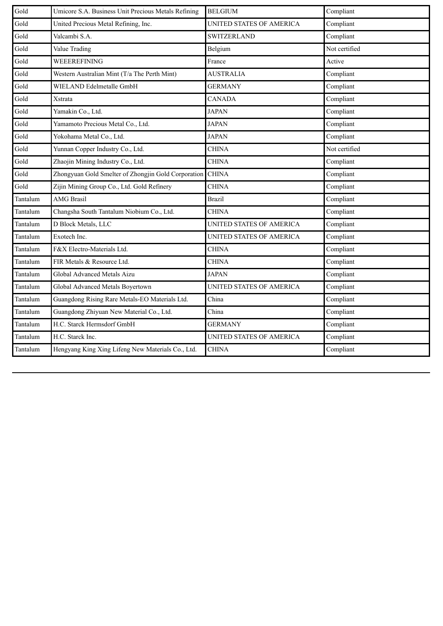| Gold     | Umicore S.A. Business Unit Precious Metals Refining | <b>BELGIUM</b>           | Compliant     |
|----------|-----------------------------------------------------|--------------------------|---------------|
| Gold     | United Precious Metal Refining, Inc.                | UNITED STATES OF AMERICA | Compliant     |
| Gold     | Valcambi S.A.                                       | <b>SWITZERLAND</b>       | Compliant     |
| Gold     | Value Trading                                       | Belgium                  | Not certified |
| Gold     | WEEEREFINING                                        | France                   | Active        |
| Gold     | Western Australian Mint (T/a The Perth Mint)        | <b>AUSTRALIA</b>         | Compliant     |
| Gold     | WIELAND Edelmetalle GmbH                            | <b>GERMANY</b>           | Compliant     |
| Gold     | Xstrata                                             | <b>CANADA</b>            | Compliant     |
| Gold     | Yamakin Co., Ltd.                                   | <b>JAPAN</b>             | Compliant     |
| Gold     | Yamamoto Precious Metal Co., Ltd.                   | <b>JAPAN</b>             | Compliant     |
| Gold     | Yokohama Metal Co., Ltd.                            | <b>JAPAN</b>             | Compliant     |
| Gold     | Yunnan Copper Industry Co., Ltd.                    | <b>CHINA</b>             | Not certified |
| Gold     | Zhaojin Mining Industry Co., Ltd.                   | <b>CHINA</b>             | Compliant     |
| Gold     | Zhongyuan Gold Smelter of Zhongjin Gold Corporation | <b>CHINA</b>             | Compliant     |
| Gold     | Zijin Mining Group Co., Ltd. Gold Refinery          | <b>CHINA</b>             | Compliant     |
| Tantalum | <b>AMG Brasil</b>                                   | <b>Brazil</b>            | Compliant     |
| Tantalum | Changsha South Tantalum Niobium Co., Ltd.           | <b>CHINA</b>             | Compliant     |
| Tantalum | D Block Metals, LLC                                 | UNITED STATES OF AMERICA | Compliant     |
| Tantalum | Exotech Inc.                                        | UNITED STATES OF AMERICA | Compliant     |
| Tantalum | F&X Electro-Materials Ltd.                          | <b>CHINA</b>             | Compliant     |
| Tantalum | FIR Metals & Resource Ltd.                          | CHINA                    | Compliant     |
| Tantalum | Global Advanced Metals Aizu                         | <b>JAPAN</b>             | Compliant     |
| Tantalum | Global Advanced Metals Boyertown                    | UNITED STATES OF AMERICA | Compliant     |
| Tantalum | Guangdong Rising Rare Metals-EO Materials Ltd.      | China                    | Compliant     |
| Tantalum | Guangdong Zhiyuan New Material Co., Ltd.            | China                    | Compliant     |
| Tantalum | H.C. Starck Hermsdorf GmbH                          | <b>GERMANY</b>           | Compliant     |
| Tantalum | H.C. Starck Inc.                                    | UNITED STATES OF AMERICA | Compliant     |
| Tantalum | Hengyang King Xing Lifeng New Materials Co., Ltd.   | <b>CHINA</b>             | Compliant     |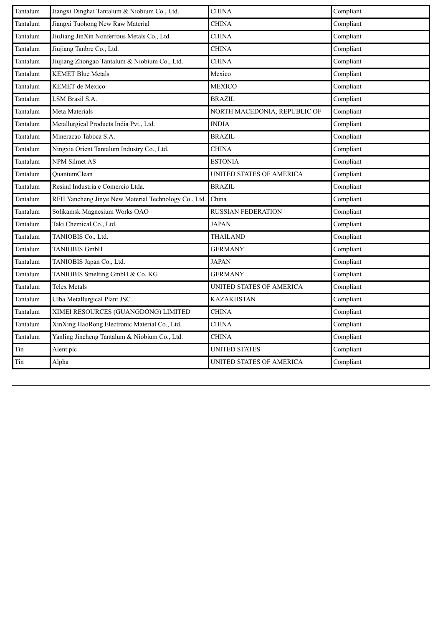| Tantalum | Jiangxi Dinghai Tantalum & Niobium Co., Ltd.         | <b>CHINA</b>                 | Compliant |
|----------|------------------------------------------------------|------------------------------|-----------|
| Tantalum | Jiangxi Tuohong New Raw Material                     | <b>CHINA</b>                 | Compliant |
| Tantalum | JiuJiang JinXin Nonferrous Metals Co., Ltd.          | <b>CHINA</b>                 | Compliant |
| Tantalum | Jiujiang Tanbre Co., Ltd.                            | <b>CHINA</b>                 | Compliant |
| Tantalum | Jiujiang Zhongao Tantalum & Niobium Co., Ltd.        | <b>CHINA</b>                 | Compliant |
| Tantalum | <b>KEMET Blue Metals</b>                             | Mexico                       | Compliant |
| Tantalum | KEMET de Mexico                                      | <b>MEXICO</b>                | Compliant |
| Tantalum | LSM Brasil S.A.                                      | <b>BRAZIL</b>                | Compliant |
| Tantalum | Meta Materials                                       | NORTH MACEDONIA, REPUBLIC OF | Compliant |
| Tantalum | Metallurgical Products India Pvt., Ltd.              | <b>INDIA</b>                 | Compliant |
| Tantalum | Mineracao Taboca S.A.                                | <b>BRAZIL</b>                | Compliant |
| Tantalum | Ningxia Orient Tantalum Industry Co., Ltd.           | <b>CHINA</b>                 | Compliant |
| Tantalum | <b>NPM Silmet AS</b>                                 | <b>ESTONIA</b>               | Compliant |
| Tantalum | QuantumClean                                         | UNITED STATES OF AMERICA     | Compliant |
| Tantalum | Resind Industria e Comercio Ltda.                    | <b>BRAZIL</b>                | Compliant |
| Tantalum | RFH Yancheng Jinye New Material Technology Co., Ltd. | China                        | Compliant |
| Tantalum | Solikamsk Magnesium Works OAO                        | <b>RUSSIAN FEDERATION</b>    | Compliant |
| Tantalum | Taki Chemical Co., Ltd.                              | <b>JAPAN</b>                 | Compliant |
| Tantalum | TANIOBIS Co., Ltd.                                   | <b>THAILAND</b>              | Compliant |
| Tantalum | <b>TANIOBIS GmbH</b>                                 | <b>GERMANY</b>               | Compliant |
| Tantalum | TANIOBIS Japan Co., Ltd.                             | <b>JAPAN</b>                 | Compliant |
| Tantalum | TANIOBIS Smelting GmbH & Co. KG                      | <b>GERMANY</b>               | Compliant |
| Tantalum | <b>Telex Metals</b>                                  | UNITED STATES OF AMERICA     | Compliant |
| Tantalum | Ulba Metallurgical Plant JSC                         | <b>KAZAKHSTAN</b>            | Compliant |
| Tantalum | XIMEI RESOURCES (GUANGDONG) LIMITED                  | <b>CHINA</b>                 | Compliant |
| Tantalum | XinXing HaoRong Electronic Material Co., Ltd.        | CHINA                        | Compliant |
| Tantalum | Yanling Jincheng Tantalum & Niobium Co., Ltd.        | <b>CHINA</b>                 | Compliant |
| Tin      | Alent plc                                            | <b>UNITED STATES</b>         | Compliant |
| Tin      | Alpha                                                | UNITED STATES OF AMERICA     | Compliant |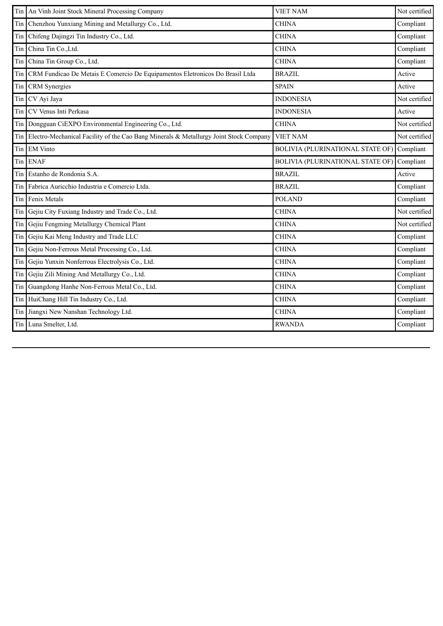| Tin | An Vinh Joint Stock Mineral Processing Company                                        | <b>VIET NAM</b>                         | Not certified |
|-----|---------------------------------------------------------------------------------------|-----------------------------------------|---------------|
| Tin | Chenzhou Yunxiang Mining and Metallurgy Co., Ltd.                                     | <b>CHINA</b>                            | Compliant     |
| Tin | Chifeng Dajingzi Tin Industry Co., Ltd.                                               | <b>CHINA</b>                            | Compliant     |
| Tin | China Tin Co., Ltd.                                                                   | <b>CHINA</b>                            | Compliant     |
| Tin | China Tin Group Co., Ltd.                                                             | <b>CHINA</b>                            | Compliant     |
| Tin | CRM Fundicao De Metais E Comercio De Equipamentos Eletronicos Do Brasil Ltda          | <b>BRAZIL</b>                           | Active        |
| Tin | <b>CRM</b> Synergies                                                                  | <b>SPAIN</b>                            | Active        |
| Tin | CV Ayi Jaya                                                                           | <b>INDONESIA</b>                        | Not certified |
| Tin | CV Venus Inti Perkasa                                                                 | <b>INDONESIA</b>                        | Active        |
| Tin | Dongguan CiEXPO Environmental Engineering Co., Ltd.                                   | <b>CHINA</b>                            | Not certified |
| Tin | Electro-Mechanical Facility of the Cao Bang Minerals & Metallurgy Joint Stock Company | <b>VIET NAM</b>                         | Not certified |
| Tin | <b>EM Vinto</b>                                                                       | <b>BOLIVIA (PLURINATIONAL STATE OF)</b> | Compliant     |
| Tin | <b>ENAF</b>                                                                           | <b>BOLIVIA (PLURINATIONAL STATE OF)</b> | Compliant     |
| Tin | Estanho de Rondonia S.A.                                                              | <b>BRAZIL</b>                           | Active        |
| Tin | Fabrica Auricchio Industria e Comercio Ltda.                                          | <b>BRAZIL</b>                           | Compliant     |
| Tin | Fenix Metals                                                                          | <b>POLAND</b>                           | Compliant     |
| Tin | Gejiu City Fuxiang Industry and Trade Co., Ltd.                                       | <b>CHINA</b>                            | Not certified |
| Tin | Gejiu Fengming Metallurgy Chemical Plant                                              | <b>CHINA</b>                            | Not certified |
| Tin | Gejiu Kai Meng Industry and Trade LLC                                                 | <b>CHINA</b>                            | Compliant     |
| Tin | Gejiu Non-Ferrous Metal Processing Co., Ltd.                                          | <b>CHINA</b>                            | Compliant     |
| Tin | Gejiu Yunxin Nonferrous Electrolysis Co., Ltd.                                        | <b>CHINA</b>                            | Compliant     |
| Tin | Gejiu Zili Mining And Metallurgy Co., Ltd.                                            | <b>CHINA</b>                            | Compliant     |
| Tin | Guangdong Hanhe Non-Ferrous Metal Co., Ltd.                                           | <b>CHINA</b>                            | Compliant     |
| Tin | HuiChang Hill Tin Industry Co., Ltd.                                                  | <b>CHINA</b>                            | Compliant     |
| Tin | Jiangxi New Nanshan Technology Ltd.                                                   | <b>CHINA</b>                            | Compliant     |
| Tin | Luna Smelter, Ltd.                                                                    | <b>RWANDA</b>                           | Compliant     |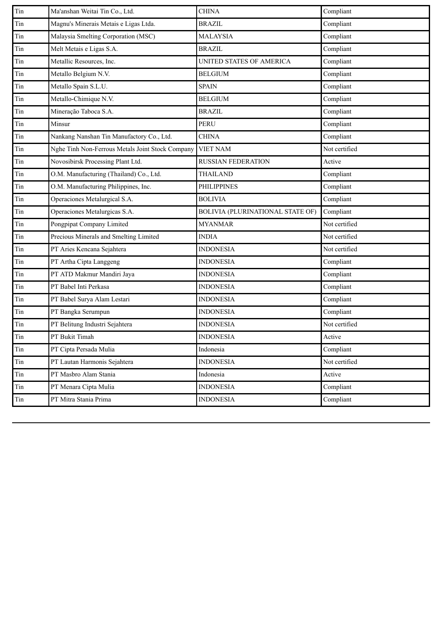| Compliant<br>Magnu's Minerais Metais e Ligas Ltda.<br>Tin<br><b>BRAZIL</b><br>Malaysia Smelting Corporation (MSC)<br>Compliant<br>Tin<br><b>MALAYSIA</b><br>Melt Metais e Ligas S.A.<br><b>BRAZIL</b><br>Compliant<br>Tin<br>Tin<br>Metallic Resources, Inc.<br>Compliant<br>UNITED STATES OF AMERICA<br>Compliant<br>Tin<br>Metallo Belgium N.V.<br><b>BELGIUM</b><br>Metallo Spain S.L.U.<br>Compliant<br>Tin<br><b>SPAIN</b><br>Metallo-Chimique N.V.<br>Compliant<br>Tin<br><b>BELGIUM</b><br>Mineração Taboca S.A.<br>Compliant<br>Tin<br><b>BRAZIL</b><br>Tin<br>Minsur<br><b>PERU</b><br>Compliant<br>Nankang Nanshan Tin Manufactory Co., Ltd.<br>Compliant<br>Tin<br><b>CHINA</b><br>Not certified<br>Tin<br>Nghe Tinh Non-Ferrous Metals Joint Stock Company<br><b>VIET NAM</b><br>Novosibirsk Processing Plant Ltd.<br>Tin<br>RUSSIAN FEDERATION<br>Active<br>O.M. Manufacturing (Thailand) Co., Ltd.<br>Compliant<br><b>THAILAND</b><br>Tin<br>O.M. Manufacturing Philippines, Inc.<br>Tin<br><b>PHILIPPINES</b><br>Compliant<br>Operaciones Metalurgical S.A.<br>Tin<br><b>BOLIVIA</b><br>Compliant<br>Tin<br>Operaciones Metalurgicas S.A.<br><b>BOLIVIA (PLURINATIONAL STATE OF)</b><br>Compliant<br>Pongpipat Company Limited<br>Not certified<br>Tin<br><b>MYANMAR</b><br>Precious Minerals and Smelting Limited<br>Not certified<br>Tin<br><b>INDIA</b><br>PT Aries Kencana Sejahtera<br><b>INDONESIA</b><br>Not certified<br>Tin<br><b>INDONESIA</b><br>Compliant<br>Tin<br>PT Artha Cipta Langgeng<br>PT ATD Makmur Mandiri Jaya<br>Compliant<br>Tin<br><b>INDONESIA</b><br>PT Babel Inti Perkasa<br>Compliant<br>Tin<br><b>INDONESIA</b><br>PT Babel Surya Alam Lestari<br>Compliant<br><b>INDONESIA</b><br>Tin<br>PT Bangka Serumpun<br><b>INDONESIA</b><br>Compliant<br>Tin<br>PT Belitung Industri Sejahtera<br>Not certified<br>Tin<br><b>INDONESIA</b><br>Tin<br>PT Bukit Timah<br><b>INDONESIA</b><br>Active<br>PT Cipta Persada Mulia<br>Compliant<br>Indonesia<br>Not certified<br>$\rm{Tin}$<br>PT Lautan Harmonis Sejahtera<br><b>INDONESIA</b><br>PT Masbro Alam Stania<br>Tin<br>Indonesia<br>Active<br>$\rm{Tin}$<br>PT Menara Cipta Mulia<br><b>INDONESIA</b><br>Compliant<br>Compliant<br>PT Mitra Stania Prima<br><b>INDONESIA</b><br>Tin | Tin          | Ma'anshan Weitai Tin Co., Ltd. | <b>CHINA</b> | Compliant |
|--------------------------------------------------------------------------------------------------------------------------------------------------------------------------------------------------------------------------------------------------------------------------------------------------------------------------------------------------------------------------------------------------------------------------------------------------------------------------------------------------------------------------------------------------------------------------------------------------------------------------------------------------------------------------------------------------------------------------------------------------------------------------------------------------------------------------------------------------------------------------------------------------------------------------------------------------------------------------------------------------------------------------------------------------------------------------------------------------------------------------------------------------------------------------------------------------------------------------------------------------------------------------------------------------------------------------------------------------------------------------------------------------------------------------------------------------------------------------------------------------------------------------------------------------------------------------------------------------------------------------------------------------------------------------------------------------------------------------------------------------------------------------------------------------------------------------------------------------------------------------------------------------------------------------------------------------------------------------------------------------------------------------------------------------------------------------------------------------------------------------------------------------------------------------------------------------------------------------------------------------------------------------------|--------------|--------------------------------|--------------|-----------|
|                                                                                                                                                                                                                                                                                                                                                                                                                                                                                                                                                                                                                                                                                                                                                                                                                                                                                                                                                                                                                                                                                                                                                                                                                                                                                                                                                                                                                                                                                                                                                                                                                                                                                                                                                                                                                                                                                                                                                                                                                                                                                                                                                                                                                                                                                |              |                                |              |           |
|                                                                                                                                                                                                                                                                                                                                                                                                                                                                                                                                                                                                                                                                                                                                                                                                                                                                                                                                                                                                                                                                                                                                                                                                                                                                                                                                                                                                                                                                                                                                                                                                                                                                                                                                                                                                                                                                                                                                                                                                                                                                                                                                                                                                                                                                                |              |                                |              |           |
|                                                                                                                                                                                                                                                                                                                                                                                                                                                                                                                                                                                                                                                                                                                                                                                                                                                                                                                                                                                                                                                                                                                                                                                                                                                                                                                                                                                                                                                                                                                                                                                                                                                                                                                                                                                                                                                                                                                                                                                                                                                                                                                                                                                                                                                                                |              |                                |              |           |
|                                                                                                                                                                                                                                                                                                                                                                                                                                                                                                                                                                                                                                                                                                                                                                                                                                                                                                                                                                                                                                                                                                                                                                                                                                                                                                                                                                                                                                                                                                                                                                                                                                                                                                                                                                                                                                                                                                                                                                                                                                                                                                                                                                                                                                                                                |              |                                |              |           |
|                                                                                                                                                                                                                                                                                                                                                                                                                                                                                                                                                                                                                                                                                                                                                                                                                                                                                                                                                                                                                                                                                                                                                                                                                                                                                                                                                                                                                                                                                                                                                                                                                                                                                                                                                                                                                                                                                                                                                                                                                                                                                                                                                                                                                                                                                |              |                                |              |           |
|                                                                                                                                                                                                                                                                                                                                                                                                                                                                                                                                                                                                                                                                                                                                                                                                                                                                                                                                                                                                                                                                                                                                                                                                                                                                                                                                                                                                                                                                                                                                                                                                                                                                                                                                                                                                                                                                                                                                                                                                                                                                                                                                                                                                                                                                                |              |                                |              |           |
|                                                                                                                                                                                                                                                                                                                                                                                                                                                                                                                                                                                                                                                                                                                                                                                                                                                                                                                                                                                                                                                                                                                                                                                                                                                                                                                                                                                                                                                                                                                                                                                                                                                                                                                                                                                                                                                                                                                                                                                                                                                                                                                                                                                                                                                                                |              |                                |              |           |
|                                                                                                                                                                                                                                                                                                                                                                                                                                                                                                                                                                                                                                                                                                                                                                                                                                                                                                                                                                                                                                                                                                                                                                                                                                                                                                                                                                                                                                                                                                                                                                                                                                                                                                                                                                                                                                                                                                                                                                                                                                                                                                                                                                                                                                                                                |              |                                |              |           |
|                                                                                                                                                                                                                                                                                                                                                                                                                                                                                                                                                                                                                                                                                                                                                                                                                                                                                                                                                                                                                                                                                                                                                                                                                                                                                                                                                                                                                                                                                                                                                                                                                                                                                                                                                                                                                                                                                                                                                                                                                                                                                                                                                                                                                                                                                |              |                                |              |           |
|                                                                                                                                                                                                                                                                                                                                                                                                                                                                                                                                                                                                                                                                                                                                                                                                                                                                                                                                                                                                                                                                                                                                                                                                                                                                                                                                                                                                                                                                                                                                                                                                                                                                                                                                                                                                                                                                                                                                                                                                                                                                                                                                                                                                                                                                                |              |                                |              |           |
|                                                                                                                                                                                                                                                                                                                                                                                                                                                                                                                                                                                                                                                                                                                                                                                                                                                                                                                                                                                                                                                                                                                                                                                                                                                                                                                                                                                                                                                                                                                                                                                                                                                                                                                                                                                                                                                                                                                                                                                                                                                                                                                                                                                                                                                                                |              |                                |              |           |
|                                                                                                                                                                                                                                                                                                                                                                                                                                                                                                                                                                                                                                                                                                                                                                                                                                                                                                                                                                                                                                                                                                                                                                                                                                                                                                                                                                                                                                                                                                                                                                                                                                                                                                                                                                                                                                                                                                                                                                                                                                                                                                                                                                                                                                                                                |              |                                |              |           |
|                                                                                                                                                                                                                                                                                                                                                                                                                                                                                                                                                                                                                                                                                                                                                                                                                                                                                                                                                                                                                                                                                                                                                                                                                                                                                                                                                                                                                                                                                                                                                                                                                                                                                                                                                                                                                                                                                                                                                                                                                                                                                                                                                                                                                                                                                |              |                                |              |           |
|                                                                                                                                                                                                                                                                                                                                                                                                                                                                                                                                                                                                                                                                                                                                                                                                                                                                                                                                                                                                                                                                                                                                                                                                                                                                                                                                                                                                                                                                                                                                                                                                                                                                                                                                                                                                                                                                                                                                                                                                                                                                                                                                                                                                                                                                                |              |                                |              |           |
|                                                                                                                                                                                                                                                                                                                                                                                                                                                                                                                                                                                                                                                                                                                                                                                                                                                                                                                                                                                                                                                                                                                                                                                                                                                                                                                                                                                                                                                                                                                                                                                                                                                                                                                                                                                                                                                                                                                                                                                                                                                                                                                                                                                                                                                                                |              |                                |              |           |
|                                                                                                                                                                                                                                                                                                                                                                                                                                                                                                                                                                                                                                                                                                                                                                                                                                                                                                                                                                                                                                                                                                                                                                                                                                                                                                                                                                                                                                                                                                                                                                                                                                                                                                                                                                                                                                                                                                                                                                                                                                                                                                                                                                                                                                                                                |              |                                |              |           |
|                                                                                                                                                                                                                                                                                                                                                                                                                                                                                                                                                                                                                                                                                                                                                                                                                                                                                                                                                                                                                                                                                                                                                                                                                                                                                                                                                                                                                                                                                                                                                                                                                                                                                                                                                                                                                                                                                                                                                                                                                                                                                                                                                                                                                                                                                |              |                                |              |           |
|                                                                                                                                                                                                                                                                                                                                                                                                                                                                                                                                                                                                                                                                                                                                                                                                                                                                                                                                                                                                                                                                                                                                                                                                                                                                                                                                                                                                                                                                                                                                                                                                                                                                                                                                                                                                                                                                                                                                                                                                                                                                                                                                                                                                                                                                                |              |                                |              |           |
|                                                                                                                                                                                                                                                                                                                                                                                                                                                                                                                                                                                                                                                                                                                                                                                                                                                                                                                                                                                                                                                                                                                                                                                                                                                                                                                                                                                                                                                                                                                                                                                                                                                                                                                                                                                                                                                                                                                                                                                                                                                                                                                                                                                                                                                                                |              |                                |              |           |
|                                                                                                                                                                                                                                                                                                                                                                                                                                                                                                                                                                                                                                                                                                                                                                                                                                                                                                                                                                                                                                                                                                                                                                                                                                                                                                                                                                                                                                                                                                                                                                                                                                                                                                                                                                                                                                                                                                                                                                                                                                                                                                                                                                                                                                                                                |              |                                |              |           |
|                                                                                                                                                                                                                                                                                                                                                                                                                                                                                                                                                                                                                                                                                                                                                                                                                                                                                                                                                                                                                                                                                                                                                                                                                                                                                                                                                                                                                                                                                                                                                                                                                                                                                                                                                                                                                                                                                                                                                                                                                                                                                                                                                                                                                                                                                |              |                                |              |           |
|                                                                                                                                                                                                                                                                                                                                                                                                                                                                                                                                                                                                                                                                                                                                                                                                                                                                                                                                                                                                                                                                                                                                                                                                                                                                                                                                                                                                                                                                                                                                                                                                                                                                                                                                                                                                                                                                                                                                                                                                                                                                                                                                                                                                                                                                                |              |                                |              |           |
|                                                                                                                                                                                                                                                                                                                                                                                                                                                                                                                                                                                                                                                                                                                                                                                                                                                                                                                                                                                                                                                                                                                                                                                                                                                                                                                                                                                                                                                                                                                                                                                                                                                                                                                                                                                                                                                                                                                                                                                                                                                                                                                                                                                                                                                                                |              |                                |              |           |
|                                                                                                                                                                                                                                                                                                                                                                                                                                                                                                                                                                                                                                                                                                                                                                                                                                                                                                                                                                                                                                                                                                                                                                                                                                                                                                                                                                                                                                                                                                                                                                                                                                                                                                                                                                                                                                                                                                                                                                                                                                                                                                                                                                                                                                                                                |              |                                |              |           |
|                                                                                                                                                                                                                                                                                                                                                                                                                                                                                                                                                                                                                                                                                                                                                                                                                                                                                                                                                                                                                                                                                                                                                                                                                                                                                                                                                                                                                                                                                                                                                                                                                                                                                                                                                                                                                                                                                                                                                                                                                                                                                                                                                                                                                                                                                |              |                                |              |           |
|                                                                                                                                                                                                                                                                                                                                                                                                                                                                                                                                                                                                                                                                                                                                                                                                                                                                                                                                                                                                                                                                                                                                                                                                                                                                                                                                                                                                                                                                                                                                                                                                                                                                                                                                                                                                                                                                                                                                                                                                                                                                                                                                                                                                                                                                                |              |                                |              |           |
|                                                                                                                                                                                                                                                                                                                                                                                                                                                                                                                                                                                                                                                                                                                                                                                                                                                                                                                                                                                                                                                                                                                                                                                                                                                                                                                                                                                                                                                                                                                                                                                                                                                                                                                                                                                                                                                                                                                                                                                                                                                                                                                                                                                                                                                                                | $\rm \, Tin$ |                                |              |           |
|                                                                                                                                                                                                                                                                                                                                                                                                                                                                                                                                                                                                                                                                                                                                                                                                                                                                                                                                                                                                                                                                                                                                                                                                                                                                                                                                                                                                                                                                                                                                                                                                                                                                                                                                                                                                                                                                                                                                                                                                                                                                                                                                                                                                                                                                                |              |                                |              |           |
|                                                                                                                                                                                                                                                                                                                                                                                                                                                                                                                                                                                                                                                                                                                                                                                                                                                                                                                                                                                                                                                                                                                                                                                                                                                                                                                                                                                                                                                                                                                                                                                                                                                                                                                                                                                                                                                                                                                                                                                                                                                                                                                                                                                                                                                                                |              |                                |              |           |
|                                                                                                                                                                                                                                                                                                                                                                                                                                                                                                                                                                                                                                                                                                                                                                                                                                                                                                                                                                                                                                                                                                                                                                                                                                                                                                                                                                                                                                                                                                                                                                                                                                                                                                                                                                                                                                                                                                                                                                                                                                                                                                                                                                                                                                                                                |              |                                |              |           |
|                                                                                                                                                                                                                                                                                                                                                                                                                                                                                                                                                                                                                                                                                                                                                                                                                                                                                                                                                                                                                                                                                                                                                                                                                                                                                                                                                                                                                                                                                                                                                                                                                                                                                                                                                                                                                                                                                                                                                                                                                                                                                                                                                                                                                                                                                |              |                                |              |           |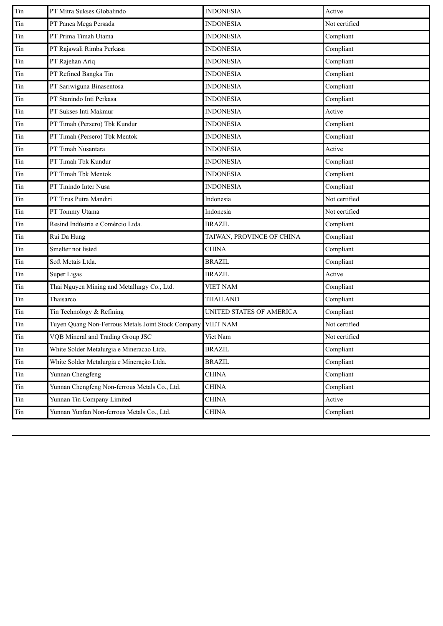| Tin       | PT Mitra Sukses Globalindo                         | <b>INDONESIA</b>          | Active        |
|-----------|----------------------------------------------------|---------------------------|---------------|
| Tin       | PT Panca Mega Persada                              | <b>INDONESIA</b>          | Not certified |
| Tin       | PT Prima Timah Utama                               | <b>INDONESIA</b>          | Compliant     |
| Tin       | PT Rajawali Rimba Perkasa                          | <b>INDONESIA</b>          | Compliant     |
| Tin       | PT Rajehan Ariq                                    | <b>INDONESIA</b>          | Compliant     |
| Tin       | PT Refined Bangka Tin                              | <b>INDONESIA</b>          | Compliant     |
| Tin       | PT Sariwiguna Binasentosa                          | <b>INDONESIA</b>          | Compliant     |
| Tin       | PT Stanindo Inti Perkasa                           | <b>INDONESIA</b>          | Compliant     |
| Tin       | PT Sukses Inti Makmur                              | <b>INDONESIA</b>          | Active        |
| Tin       | PT Timah (Persero) Tbk Kundur                      | <b>INDONESIA</b>          | Compliant     |
| Tin       | PT Timah (Persero) Tbk Mentok                      | <b>INDONESIA</b>          | Compliant     |
| Tin       | PT Timah Nusantara                                 | <b>INDONESIA</b>          | Active        |
| Tin       | PT Timah Tbk Kundur                                | <b>INDONESIA</b>          | Compliant     |
| Tin       | PT Timah Tbk Mentok                                | <b>INDONESIA</b>          | Compliant     |
| Tin       | PT Tinindo Inter Nusa                              | <b>INDONESIA</b>          | Compliant     |
| Tin       | PT Tirus Putra Mandiri                             | Indonesia                 | Not certified |
| Tin       | PT Tommy Utama                                     | Indonesia                 | Not certified |
| Tin       | Resind Indústria e Comércio Ltda.                  | <b>BRAZIL</b>             | Compliant     |
| Tin       | Rui Da Hung                                        | TAIWAN, PROVINCE OF CHINA | Compliant     |
| Tin       | Smelter not listed                                 | <b>CHINA</b>              | Compliant     |
| Tin       | Soft Metais Ltda.                                  | <b>BRAZIL</b>             | Compliant     |
| Tin       | Super Ligas                                        | <b>BRAZIL</b>             | Active        |
| Tin       | Thai Nguyen Mining and Metallurgy Co., Ltd.        | <b>VIET NAM</b>           | Compliant     |
| Tin       | Thaisarco                                          | <b>THAILAND</b>           | Compliant     |
| Tin       | Tin Technology & Refining                          | UNITED STATES OF AMERICA  | Compliant     |
| Tin       | Tuyen Quang Non-Ferrous Metals Joint Stock Company | <b>VIET NAM</b>           | Not certified |
| $\rm Tin$ | VQB Mineral and Trading Group JSC                  | Viet Nam                  | Not certified |
| Tin       | White Solder Metalurgia e Mineracao Ltda.          | <b>BRAZIL</b>             | Compliant     |
| Tin       | White Solder Metalurgia e Mineração Ltda.          | <b>BRAZIL</b>             | Compliant     |
| Tin       | Yunnan Chengfeng                                   | <b>CHINA</b>              | Compliant     |
| Tin       | Yunnan Chengfeng Non-ferrous Metals Co., Ltd.      | <b>CHINA</b>              | Compliant     |
| Tin       | Yunnan Tin Company Limited                         | <b>CHINA</b>              | Active        |
| Tin       | Yunnan Yunfan Non-ferrous Metals Co., Ltd.         | <b>CHINA</b>              | Compliant     |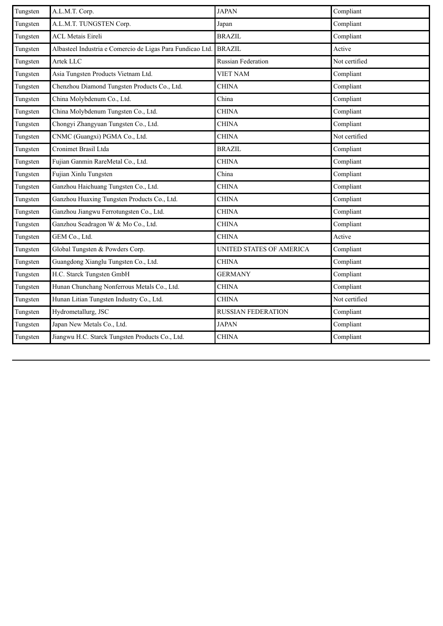| Tungsten | A.L.M.T. Corp.                                             | <b>JAPAN</b>              | Compliant     |
|----------|------------------------------------------------------------|---------------------------|---------------|
| Tungsten | A.L.M.T. TUNGSTEN Corp.                                    | Japan                     | Compliant     |
| Tungsten | <b>ACL Metais Eireli</b>                                   | <b>BRAZIL</b>             | Compliant     |
| Tungsten | Albasteel Industria e Comercio de Ligas Para Fundicao Ltd. | <b>BRAZIL</b>             | Active        |
| Tungsten | Artek LLC                                                  | <b>Russian Federation</b> | Not certified |
| Tungsten | Asia Tungsten Products Vietnam Ltd.                        | <b>VIET NAM</b>           | Compliant     |
| Tungsten | Chenzhou Diamond Tungsten Products Co., Ltd.               | <b>CHINA</b>              | Compliant     |
| Tungsten | China Molybdenum Co., Ltd.                                 | China                     | Compliant     |
| Tungsten | China Molybdenum Tungsten Co., Ltd.                        | <b>CHINA</b>              | Compliant     |
| Tungsten | Chongyi Zhangyuan Tungsten Co., Ltd.                       | <b>CHINA</b>              | Compliant     |
| Tungsten | CNMC (Guangxi) PGMA Co., Ltd.                              | <b>CHINA</b>              | Not certified |
| Tungsten | Cronimet Brasil Ltda                                       | <b>BRAZIL</b>             | Compliant     |
| Tungsten | Fujian Ganmin RareMetal Co., Ltd.                          | <b>CHINA</b>              | Compliant     |
| Tungsten | Fujian Xinlu Tungsten                                      | China                     | Compliant     |
| Tungsten | Ganzhou Haichuang Tungsten Co., Ltd.                       | <b>CHINA</b>              | Compliant     |
| Tungsten | Ganzhou Huaxing Tungsten Products Co., Ltd.                | <b>CHINA</b>              | Compliant     |
| Tungsten | Ganzhou Jiangwu Ferrotungsten Co., Ltd.                    | <b>CHINA</b>              | Compliant     |
| Tungsten | Ganzhou Seadragon W & Mo Co., Ltd.                         | <b>CHINA</b>              | Compliant     |
| Tungsten | GEM Co., Ltd.                                              | <b>CHINA</b>              | Active        |
| Tungsten | Global Tungsten & Powders Corp.                            | UNITED STATES OF AMERICA  | Compliant     |
| Tungsten | Guangdong Xianglu Tungsten Co., Ltd.                       | <b>CHINA</b>              | Compliant     |
| Tungsten | H.C. Starck Tungsten GmbH                                  | <b>GERMANY</b>            | Compliant     |
| Tungsten | Hunan Chunchang Nonferrous Metals Co., Ltd.                | <b>CHINA</b>              | Compliant     |
| Tungsten | Hunan Litian Tungsten Industry Co., Ltd.                   | <b>CHINA</b>              | Not certified |
| Tungsten | Hydrometallurg, JSC                                        | <b>RUSSIAN FEDERATION</b> | Compliant     |
| Tungsten | Japan New Metals Co., Ltd.                                 | <b>JAPAN</b>              | Compliant     |
| Tungsten | Jiangwu H.C. Starck Tungsten Products Co., Ltd.            | <b>CHINA</b>              | Compliant     |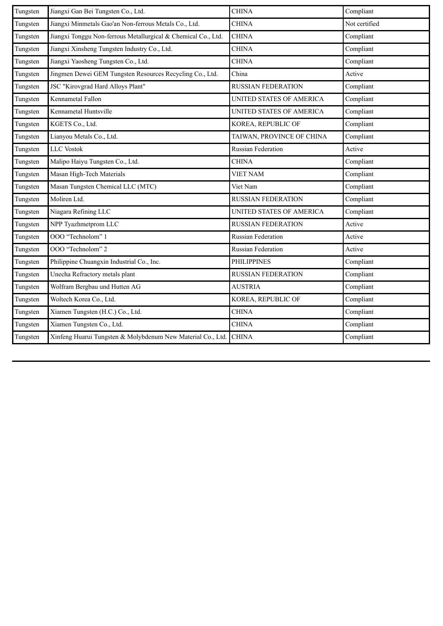| Tungsten | Jiangxi Gan Bei Tungsten Co., Ltd.                            | <b>CHINA</b>              | Compliant     |
|----------|---------------------------------------------------------------|---------------------------|---------------|
| Tungsten | Jiangxi Minmetals Gao'an Non-ferrous Metals Co., Ltd.         | <b>CHINA</b>              | Not certified |
| Tungsten | Jiangxi Tonggu Non-ferrous Metallurgical & Chemical Co., Ltd. | <b>CHINA</b>              | Compliant     |
| Tungsten | Jiangxi Xinsheng Tungsten Industry Co., Ltd.                  | <b>CHINA</b>              | Compliant     |
| Tungsten | Jiangxi Yaosheng Tungsten Co., Ltd.                           | <b>CHINA</b>              | Compliant     |
| Tungsten | Jingmen Dewei GEM Tungsten Resources Recycling Co., Ltd.      | China                     | Active        |
| Tungsten | JSC "Kirovgrad Hard Alloys Plant"                             | <b>RUSSIAN FEDERATION</b> | Compliant     |
| Tungsten | Kennametal Fallon                                             | UNITED STATES OF AMERICA  | Compliant     |
| Tungsten | Kennametal Huntsville                                         | UNITED STATES OF AMERICA  | Compliant     |
| Tungsten | KGETS Co., Ltd.                                               | KOREA, REPUBLIC OF        | Compliant     |
| Tungsten | Lianyou Metals Co., Ltd.                                      | TAIWAN, PROVINCE OF CHINA | Compliant     |
| Tungsten | <b>LLC</b> Vostok                                             | <b>Russian Federation</b> | Active        |
| Tungsten | Malipo Haiyu Tungsten Co., Ltd.                               | <b>CHINA</b>              | Compliant     |
| Tungsten | Masan High-Tech Materials                                     | <b>VIET NAM</b>           | Compliant     |
| Tungsten | Masan Tungsten Chemical LLC (MTC)                             | Viet Nam                  | Compliant     |
| Tungsten | Moliren Ltd.                                                  | <b>RUSSIAN FEDERATION</b> | Compliant     |
| Tungsten | Niagara Refining LLC                                          | UNITED STATES OF AMERICA  | Compliant     |
| Tungsten | NPP Tyazhmetprom LLC                                          | <b>RUSSIAN FEDERATION</b> | Active        |
| Tungsten | OOO "Technolom" 1                                             | Russian Federation        | Active        |
| Tungsten | OOO "Technolom" 2                                             | Russian Federation        | Active        |
| Tungsten | Philippine Chuangxin Industrial Co., Inc.                     | <b>PHILIPPINES</b>        | Compliant     |
| Tungsten | Unecha Refractory metals plant                                | <b>RUSSIAN FEDERATION</b> | Compliant     |
| Tungsten | Wolfram Bergbau und Hutten AG                                 | <b>AUSTRIA</b>            | Compliant     |
| Tungsten | Woltech Korea Co., Ltd.                                       | KOREA, REPUBLIC OF        | Compliant     |
| Tungsten | Xiamen Tungsten (H.C.) Co., Ltd.                              | <b>CHINA</b>              | Compliant     |
| Tungsten | Xiamen Tungsten Co., Ltd.                                     | <b>CHINA</b>              | Compliant     |
| Tungsten | Xinfeng Huarui Tungsten & Molybdenum New Material Co., Ltd.   | <b>CHINA</b>              | Compliant     |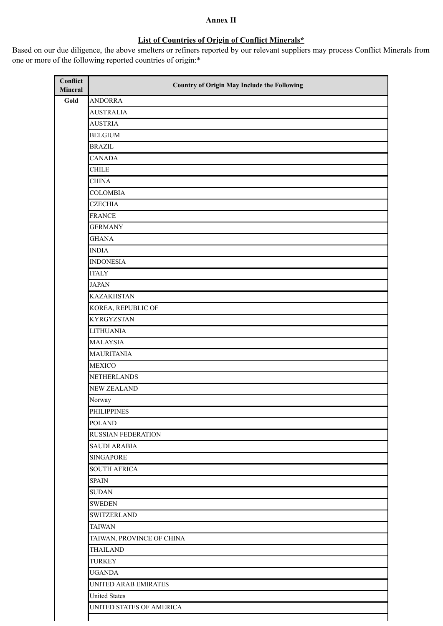## **Annex II**

## **List of Countries of Origin of Conflict Minerals\***

Based on our due diligence, the above smelters or refiners reported by our relevant suppliers may process Conflict Minerals from one or more of the following reported countries of origin:\*

| Conflict<br>Mineral | <b>Country of Origin May Include the Following</b> |
|---------------------|----------------------------------------------------|
| Gold                | <b>ANDORRA</b>                                     |
|                     | <b>AUSTRALIA</b>                                   |
|                     | <b>AUSTRIA</b>                                     |
|                     | <b>BELGIUM</b>                                     |
|                     | <b>BRAZIL</b>                                      |
|                     | <b>CANADA</b>                                      |
|                     | <b>CHILE</b>                                       |
|                     | <b>CHINA</b>                                       |
|                     | <b>COLOMBIA</b>                                    |
|                     | <b>CZECHIA</b>                                     |
|                     | <b>FRANCE</b>                                      |
|                     | <b>GERMANY</b>                                     |
|                     | <b>GHANA</b>                                       |
|                     | <b>INDIA</b>                                       |
|                     | <b>INDONESIA</b>                                   |
|                     | <b>ITALY</b>                                       |
|                     | <b>JAPAN</b>                                       |
|                     | <b>KAZAKHSTAN</b>                                  |
|                     | KOREA, REPUBLIC OF                                 |
|                     | <b>KYRGYZSTAN</b>                                  |
|                     | <b>LITHUANIA</b>                                   |
|                     | <b>MALAYSIA</b>                                    |
|                     | <b>MAURITANIA</b>                                  |
|                     | <b>MEXICO</b>                                      |
|                     | <b>NETHERLANDS</b>                                 |
|                     | <b>NEW ZEALAND</b>                                 |
|                     | Norway                                             |
|                     | <b>PHILIPPINES</b>                                 |
|                     | <b>POLAND</b>                                      |
|                     | <b>RUSSIAN FEDERATION</b>                          |
|                     | <b>SAUDI ARABIA</b>                                |
|                     | <b>SINGAPORE</b>                                   |
|                     | <b>SOUTH AFRICA</b>                                |
|                     | <b>SPAIN</b>                                       |
|                     | <b>SUDAN</b>                                       |
|                     | <b>SWEDEN</b>                                      |
|                     | <b>SWITZERLAND</b>                                 |
|                     | <b>TAIWAN</b>                                      |
|                     | TAIWAN, PROVINCE OF CHINA                          |
|                     | <b>THAILAND</b>                                    |
|                     | <b>TURKEY</b>                                      |
|                     | <b>UGANDA</b>                                      |
|                     | UNITED ARAB EMIRATES                               |
|                     | <b>United States</b>                               |
|                     | UNITED STATES OF AMERICA                           |
|                     |                                                    |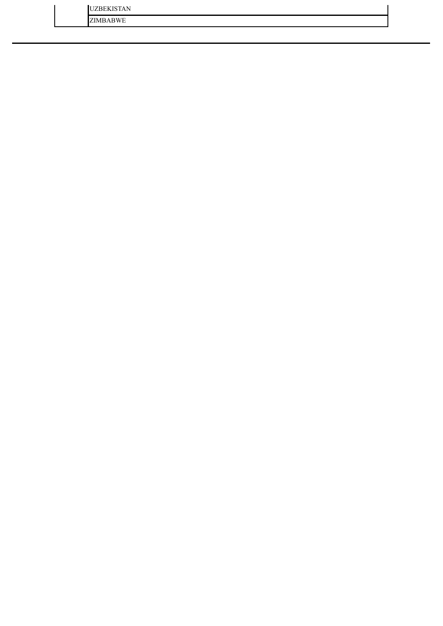| <b>UZBEKISTAN</b> |  |
|-------------------|--|
| <b>ZIMBABWE</b>   |  |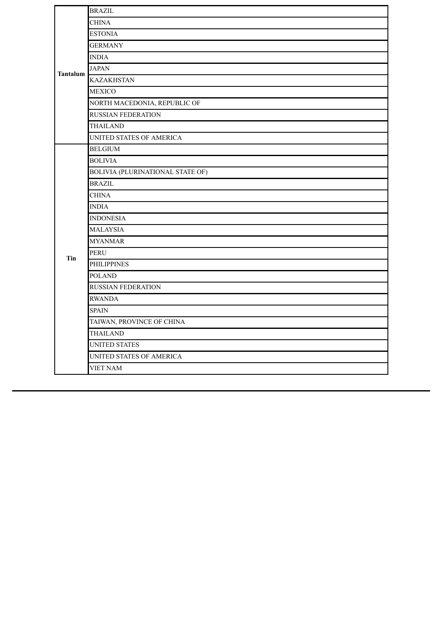|          | <b>BRAZIL</b>                    |
|----------|----------------------------------|
|          | <b>CHINA</b>                     |
|          | <b>ESTONIA</b>                   |
|          | <b>GERMANY</b>                   |
|          | <b>INDIA</b>                     |
| Tantalum | <b>JAPAN</b>                     |
|          | <b>KAZAKHSTAN</b>                |
|          | <b>MEXICO</b>                    |
|          | NORTH MACEDONIA, REPUBLIC OF     |
|          | <b>RUSSIAN FEDERATION</b>        |
|          | <b>THAILAND</b>                  |
|          | UNITED STATES OF AMERICA         |
|          | <b>BELGIUM</b>                   |
|          | <b>BOLIVIA</b>                   |
|          | BOLIVIA (PLURINATIONAL STATE OF) |
|          | <b>BRAZIL</b>                    |
|          | <b>CHINA</b>                     |
|          | <b>INDIA</b>                     |
|          | <b>INDONESIA</b>                 |
|          | <b>MALAYSIA</b>                  |
|          | <b>MYANMAR</b>                   |
| Tin      | <b>PERU</b>                      |
|          | <b>PHILIPPINES</b>               |
|          | <b>POLAND</b>                    |
|          | <b>RUSSIAN FEDERATION</b>        |
|          | <b>RWANDA</b>                    |
|          | <b>SPAIN</b>                     |
|          | TAIWAN, PROVINCE OF CHINA        |
|          | <b>THAILAND</b>                  |
|          | <b>UNITED STATES</b>             |
|          | UNITED STATES OF AMERICA         |
|          | <b>VIET NAM</b>                  |